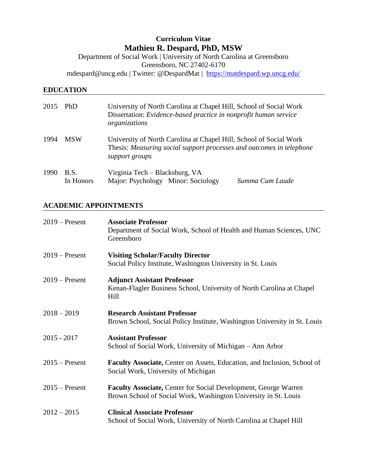# **Curriculum Vitae Mathieu R. Despard, PhD, MSW**

Department of Social Work | University of North Carolina at Greensboro Greensboro, NC 27402-6170 mdespard@uncg.edu | Twitter: @DespardMat | <https://matdespard.wp.uncg.edu/>

# **EDUCATION**

| 2015 | PhD                      | University of North Carolina at Chapel Hill, School of Social Work<br>Dissertation: Evidence-based practice in nonprofit human service<br>organizations      |
|------|--------------------------|--------------------------------------------------------------------------------------------------------------------------------------------------------------|
| 1994 | <b>MSW</b>               | University of North Carolina at Chapel Hill, School of Social Work<br>Thesis: Measuring social support processes and outcomes in telephone<br>support groups |
| 1990 | <b>B.S.</b><br>In Honors | Virginia Tech – Blacksburg, VA<br>Major: Psychology Minor: Sociology<br>Summa Cum Laude                                                                      |

# **ACADEMIC APPOINTMENTS**

| $2019$ – Present | <b>Associate Professor</b><br>Department of Social Work, School of Health and Human Sciences, UNC<br>Greensboro                           |
|------------------|-------------------------------------------------------------------------------------------------------------------------------------------|
| $2019$ – Present | <b>Visiting Scholar/Faculty Director</b><br>Social Policy Institute, Washington University in St. Louis                                   |
| $2019$ – Present | <b>Adjunct Assistant Professor</b><br>Kenan-Flagler Business School, University of North Carolina at Chapel<br>Hill                       |
| $2018 - 2019$    | <b>Research Assistant Professor</b><br>Brown School, Social Policy Institute, Washington University in St. Louis                          |
| $2015 - 2017$    | <b>Assistant Professor</b><br>School of Social Work, University of Michigan - Ann Arbor                                                   |
| $2015$ – Present | Faculty Associate, Center on Assets, Education, and Inclusion, School of<br>Social Work, University of Michigan                           |
| $2015$ – Present | <b>Faculty Associate, Center for Social Development, George Warren</b><br>Brown School of Social Work, Washington University in St. Louis |
| $2012 - 2015$    | <b>Clinical Associate Professor</b><br>School of Social Work, University of North Carolina at Chapel Hill                                 |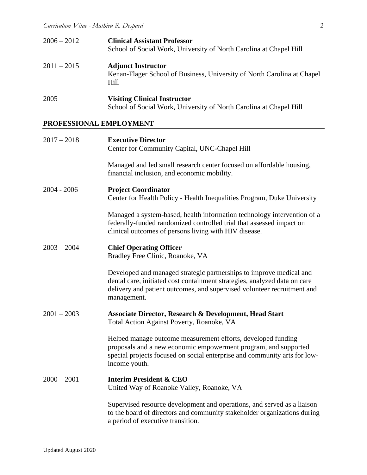| $2006 - 2012$ | <b>Clinical Assistant Professor</b><br>School of Social Work, University of North Carolina at Chapel Hill    |
|---------------|--------------------------------------------------------------------------------------------------------------|
| $2011 - 2015$ | <b>Adjunct Instructor</b><br>Kenan-Flager School of Business, University of North Carolina at Chapel<br>Hill |
| 2005          | <b>Visiting Clinical Instructor</b><br>School of Social Work, University of North Carolina at Chapel Hill    |

# **PROFESSIONAL EMPLOYMENT**

| $2017 - 2018$ | <b>Executive Director</b><br>Center for Community Capital, UNC-Chapel Hill                                                                                                                                                                 |
|---------------|--------------------------------------------------------------------------------------------------------------------------------------------------------------------------------------------------------------------------------------------|
|               | Managed and led small research center focused on affordable housing,<br>financial inclusion, and economic mobility.                                                                                                                        |
| $2004 - 2006$ | <b>Project Coordinator</b><br>Center for Health Policy - Health Inequalities Program, Duke University                                                                                                                                      |
|               | Managed a system-based, health information technology intervention of a<br>federally-funded randomized controlled trial that assessed impact on<br>clinical outcomes of persons living with HIV disease.                                   |
| $2003 - 2004$ | <b>Chief Operating Officer</b><br>Bradley Free Clinic, Roanoke, VA                                                                                                                                                                         |
|               | Developed and managed strategic partnerships to improve medical and<br>dental care, initiated cost containment strategies, analyzed data on care<br>delivery and patient outcomes, and supervised volunteer recruitment and<br>management. |
| $2001 - 2003$ | <b>Associate Director, Research &amp; Development, Head Start</b><br>Total Action Against Poverty, Roanoke, VA                                                                                                                             |
|               | Helped manage outcome measurement efforts, developed funding<br>proposals and a new economic empowerment program, and supported<br>special projects focused on social enterprise and community arts for low-<br>income youth.              |
| $2000 - 2001$ | <b>Interim President &amp; CEO</b><br>United Way of Roanoke Valley, Roanoke, VA                                                                                                                                                            |
|               | Supervised resource development and operations, and served as a liaison<br>to the board of directors and community stakeholder organizations during<br>a period of executive transition.                                                   |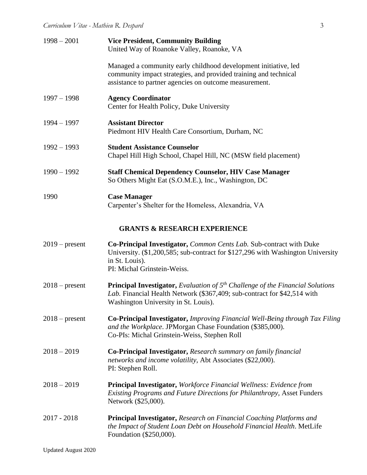| $1998 - 2001$    | <b>Vice President, Community Building</b><br>United Way of Roanoke Valley, Roanoke, VA                                                                                                                         |
|------------------|----------------------------------------------------------------------------------------------------------------------------------------------------------------------------------------------------------------|
|                  | Managed a community early childhood development initiative, led<br>community impact strategies, and provided training and technical<br>assistance to partner agencies on outcome measurement.                  |
| $1997 - 1998$    | <b>Agency Coordinator</b><br>Center for Health Policy, Duke University                                                                                                                                         |
| $1994 - 1997$    | <b>Assistant Director</b><br>Piedmont HIV Health Care Consortium, Durham, NC                                                                                                                                   |
| $1992 - 1993$    | <b>Student Assistance Counselor</b><br>Chapel Hill High School, Chapel Hill, NC (MSW field placement)                                                                                                          |
| $1990 - 1992$    | <b>Staff Chemical Dependency Counselor, HIV Case Manager</b><br>So Others Might Eat (S.O.M.E.), Inc., Washington, DC                                                                                           |
| 1990             | <b>Case Manager</b><br>Carpenter's Shelter for the Homeless, Alexandria, VA                                                                                                                                    |
|                  | <b>GRANTS &amp; RESEARCH EXPERIENCE</b>                                                                                                                                                                        |
| $2019$ – present | <b>Co-Principal Investigator, Common Cents Lab. Sub-contract with Duke</b><br>University. (\$1,200,585; sub-contract for \$127,296 with Washington University<br>in St. Louis).<br>PI: Michal Grinstein-Weiss. |
| $2018$ – present | <b>Principal Investigator,</b> Evaluation of $5th$ Challenge of the Financial Solutions<br>Lab. Financial Health Network (\$367,409; sub-contract for \$42,514 with<br>Washington University in St. Louis).    |
| $2018$ – present | <b>Co-Principal Investigator, Improving Financial Well-Being through Tax Filing</b><br>and the Workplace. JPMorgan Chase Foundation (\$385,000).<br>Co-PIs: Michal Grinstein-Weiss, Stephen Roll               |
| $2018 - 2019$    | Co-Principal Investigator, Research summary on family financial<br>networks and income volatility, Abt Associates (\$22,000).<br>PI: Stephen Roll.                                                             |
| $2018 - 2019$    | <b>Principal Investigator, Workforce Financial Wellness: Evidence from</b><br>Existing Programs and Future Directions for Philanthropy, Asset Funders<br>Network (\$25,000).                                   |
| $2017 - 2018$    | <b>Principal Investigator, Research on Financial Coaching Platforms and</b><br>the Impact of Student Loan Debt on Household Financial Health. MetLife<br>Foundation (\$250,000).                               |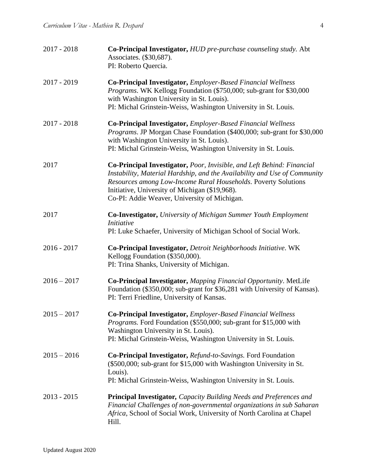| $2017 - 2018$ | Co-Principal Investigator, HUD pre-purchase counseling study. Abt<br>Associates. (\$30,687).<br>PI: Roberto Quercia.                                                                                                                                                                                                    |
|---------------|-------------------------------------------------------------------------------------------------------------------------------------------------------------------------------------------------------------------------------------------------------------------------------------------------------------------------|
| $2017 - 2019$ | Co-Principal Investigator, Employer-Based Financial Wellness<br><i>Programs.</i> WK Kellogg Foundation (\$750,000; sub-grant for \$30,000<br>with Washington University in St. Louis).<br>PI: Michal Grinstein-Weiss, Washington University in St. Louis.                                                               |
| $2017 - 2018$ | Co-Principal Investigator, Employer-Based Financial Wellness<br>Programs. JP Morgan Chase Foundation (\$400,000; sub-grant for \$30,000<br>with Washington University in St. Louis).<br>PI: Michal Grinstein-Weiss, Washington University in St. Louis.                                                                 |
| 2017          | Co-Principal Investigator, Poor, Invisible, and Left Behind: Financial<br>Instability, Material Hardship, and the Availability and Use of Community<br>Resources among Low-Income Rural Households. Poverty Solutions<br>Initiative, University of Michigan (\$19,968).<br>Co-PI: Addie Weaver, University of Michigan. |
| 2017          | <b>Co-Investigator, University of Michigan Summer Youth Employment</b><br><i>Initiative</i><br>PI: Luke Schaefer, University of Michigan School of Social Work.                                                                                                                                                         |
| $2016 - 2017$ | Co-Principal Investigator, Detroit Neighborhoods Initiative. WK<br>Kellogg Foundation (\$350,000).<br>PI: Trina Shanks, University of Michigan.                                                                                                                                                                         |
| $2016 - 2017$ | Co-Principal Investigator, Mapping Financial Opportunity. MetLife<br>Foundation (\$350,000; sub-grant for \$36,281 with University of Kansas).<br>PI: Terri Friedline, University of Kansas.                                                                                                                            |
| $2015 - 2017$ | Co-Principal Investigator, Employer-Based Financial Wellness<br>Programs. Ford Foundation (\$550,000; sub-grant for \$15,000 with<br>Washington University in St. Louis).<br>PI: Michal Grinstein-Weiss, Washington University in St. Louis.                                                                            |
| $2015 - 2016$ | Co-Principal Investigator, Refund-to-Savings. Ford Foundation<br>(\$500,000; sub-grant for \$15,000 with Washington University in St.<br>Louis).<br>PI: Michal Grinstein-Weiss, Washington University in St. Louis.                                                                                                     |
| $2013 - 2015$ | <b>Principal Investigator, Capacity Building Needs and Preferences and</b><br>Financial Challenges of non-governmental organizations in sub Saharan<br>Africa, School of Social Work, University of North Carolina at Chapel<br>Hill.                                                                                   |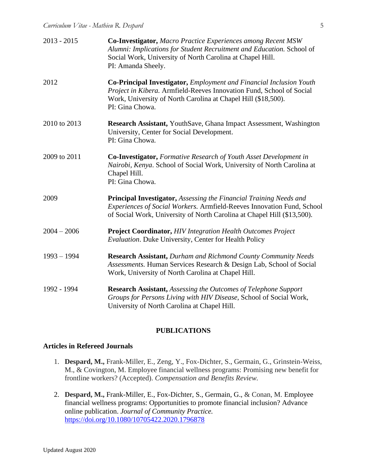| $2013 - 2015$ | <b>Co-Investigator, Macro Practice Experiences among Recent MSW</b><br>Alumni: Implications for Student Recruitment and Education. School of<br>Social Work, University of North Carolina at Chapel Hill.<br>PI: Amanda Sheely. |
|---------------|---------------------------------------------------------------------------------------------------------------------------------------------------------------------------------------------------------------------------------|
| 2012          | Co-Principal Investigator, Employment and Financial Inclusion Youth<br>Project in Kibera. Armfield-Reeves Innovation Fund, School of Social<br>Work, University of North Carolina at Chapel Hill (\$18,500).<br>PI: Gina Chowa. |
| 2010 to 2013  | Research Assistant, YouthSave, Ghana Impact Assessment, Washington<br>University, Center for Social Development.<br>PI: Gina Chowa.                                                                                             |
| 2009 to 2011  | <b>Co-Investigator, Formative Research of Youth Asset Development in</b><br>Nairobi, Kenya. School of Social Work, University of North Carolina at<br>Chapel Hill.<br>PI: Gina Chowa.                                           |
| 2009          | Principal Investigator, Assessing the Financial Training Needs and<br>Experiences of Social Workers. Armfield-Reeves Innovation Fund, School<br>of Social Work, University of North Carolina at Chapel Hill (\$13,500).         |
| $2004 - 2006$ | <b>Project Coordinator, HIV Integration Health Outcomes Project</b><br>Evaluation. Duke University, Center for Health Policy                                                                                                    |
| $1993 - 1994$ | <b>Research Assistant, Durham and Richmond County Community Needs</b><br>Assessments. Human Services Research & Design Lab, School of Social<br>Work, University of North Carolina at Chapel Hill.                              |
| 1992 - 1994   | <b>Research Assistant, Assessing the Outcomes of Telephone Support</b><br>Groups for Persons Living with HIV Disease, School of Social Work,<br>University of North Carolina at Chapel Hill.                                    |

# **PUBLICATIONS**

### **Articles in Refereed Journals**

- 1. **Despard, M.,** Frank-Miller, E., Zeng, Y., Fox-Dichter, S., Germain, G., Grinstein-Weiss, M., & Covington, M. Employee financial wellness programs: Promising new benefit for frontline workers? (Accepted). *Compensation and Benefits Review.*
- 2. **Despard, M.,** Frank-Miller, E., Fox-Dichter, S., Germain, G., & Conan, M. Employee financial wellness programs: Opportunities to promote financial inclusion? Advance online publication. *Journal of Community Practice.* <https://doi.org/10.1080/10705422.2020.1796878>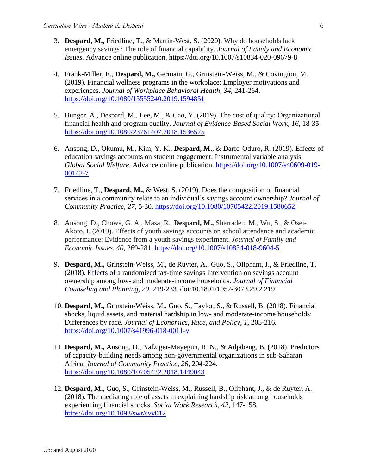- 3. **Despard, M.,** Friedline, T., & Martin-West, S. (2020). Why do households lack emergency savings? The role of financial capability. *Journal of Family and Economic Issues.* Advance online publication. https://doi.org/10.1007/s10834-020-09679-8
- 4. Frank-Miller, E., **Despard, M.,** Germain, G., Grinstein-Weiss, M., & Covington, M. (2019). Financial wellness programs in the workplace: Employer motivations and experiences. *Journal of Workplace Behavioral Health, 34,* 241-264. <https://doi.org/10.1080/15555240.2019.1594851>
- 5. Bunger, A., Despard, M., Lee, M., & Cao, Y. (2019). The cost of quality: Organizational financial health and program quality. *Journal of Evidence-Based Social Work, 16,* 18-35. <https://doi.org/10.1080/23761407.2018.1536575>
- 6. Ansong, D., Okumu, M., Kim, Y. K., **Despard, M.**, & Darfo-Oduro, R. (2019). Effects of education savings accounts on student engagement: Instrumental variable analysis. *Global Social Welfare*. Advance online publication. [https://doi.org/10.1007/s40609-019-](https://doi.org/10.1007/s40609-019-00142-7) [00142-7](https://doi.org/10.1007/s40609-019-00142-7)
- 7. Friedline, T., **Despard, M.,** & West, S. (2019). Does the composition of financial services in a community relate to an individual's savings account ownership? *Journal of Community Practice, 27,* 5-30. <https://doi.org/10.1080/10705422.2019.1580652>
- 8. Ansong, D., Chowa, G. A., Masa, R., **Despard, M.,** Sherraden, M., Wu, S., & Osei-Akoto, I. (2019). Effects of youth savings accounts on school attendance and academic performance: Evidence from a youth savings experiment. *Journal of Family and Economic Issues, 40,* 269-281*.* <https://doi.org/10.1007/s10834-018-9604-5>
- 9. **Despard, M.,** Grinstein-Weiss, M., de Ruyter, A., Guo, S., Oliphant, J., & Friedline, T. (2018). Effects of a randomized tax-time savings intervention on savings account ownership among low- and moderate-income households. *Journal of Financial Counseling and Planning, 29,* 219-233*.* doi:10.1891/1052-3073.29.2.219
- 10. **Despard, M.,** Grinstein-Weiss, M., Guo, S., Taylor, S., & Russell, B. (2018). Financial shocks, liquid assets, and material hardship in low- and moderate-income households: Differences by race. *Journal of Economics, Race, and Policy, 1,* 205-216*.* <https://doi.org/10.1007/s41996-018-0011-y>
- 11. **Despard, M.,** Ansong, D., Nafziger-Mayegun, R. N., & Adjabeng, B. (2018). Predictors of capacity-building needs among non-governmental organizations in sub-Saharan Africa. *Journal of Community Practice, 26,* 204-224. <https://doi.org/10.1080/10705422.2018.1449043>
- 12. **Despard, M.,** Guo, S., Grinstein-Weiss, M., Russell, B., Oliphant, J., & de Ruyter, A. (2018). The mediating role of assets in explaining hardship risk among households experiencing financial shocks. *Social Work Research, 42,* 147-158*.* <https://doi.org/10.1093/swr/svy012>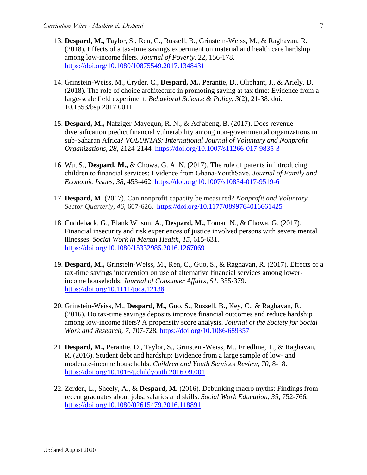- 13. **Despard, M.,** Taylor, S., Ren, C., Russell, B., Grinstein-Weiss, M., & Raghavan, R. (2018). Effects of a tax-time savings experiment on material and health care hardship among low-income filers. *Journal of Poverty*, 22, 156-178. <https://doi.org/10.1080/10875549.2017.1348431>
- 14. Grinstein-Weiss, M., Cryder, C., **Despard, M.,** Perantie, D., Oliphant, J., & Ariely, D. (2018). The role of choice architecture in promoting saving at tax time: Evidence from a large-scale field experiment. *Behavioral Science & Policy, 3*(2)*,* 21-38*.* doi: 10.1353/bsp.2017.0011
- 15. **Despard, M.,** Nafziger-Mayegun, R. N., & Adjabeng, B. (2017). Does revenue diversification predict financial vulnerability among non-governmental organizations in sub-Saharan Africa? *VOLUNTAS: International Journal of Voluntary and Nonprofit Organizations, 28,* 2124-2144*.* <https://doi.org/10.1007/s11266-017-9835-3>
- 16. Wu, S., **Despard, M.,** & Chowa, G. A. N. (2017). The role of parents in introducing children to financial services: Evidence from Ghana-YouthSave. *Journal of Family and Economic Issues, 38,* 453-462. <https://doi.org/10.1007/s10834-017-9519-6>
- 17. **Despard, M.** (2017). Can nonprofit capacity be measured? *Nonprofit and Voluntary Sector Quarterly, 46,* 607-626. <https://doi.org/10.1177/0899764016661425>
- 18. Cuddeback, G., Blank Wilson, A., **Despard, M.,** Tomar, N., & Chowa, G. (2017). Financial insecurity and risk experiences of justice involved persons with severe mental illnesses. *Social Work in Mental Health, 15,* 615-631. <https://doi.org/10.1080/15332985.2016.1267069>
- 19. **Despard, M.,** Grinstein-Weiss, M., Ren, C., Guo, S., & Raghavan, R. (2017). Effects of a tax-time savings intervention on use of alternative financial services among lowerincome households. *Journal of Consumer Affairs, 51,* 355-379*.* <https://doi.org/10.1111/joca.12138>
- 20. Grinstein-Weiss, M., **Despard, M.,** Guo, S., Russell, B., Key, C., & Raghavan, R. (2016). Do tax-time savings deposits improve financial outcomes and reduce hardship among low-income filers? A propensity score analysis. *Journal of the Society for Social Work and Research, 7,* 707-728*.* <https://doi.org/10.1086/689357>
- 21. **Despard, M.,** Perantie, D., Taylor, S., Grinstein-Weiss, M., Friedline, T., & Raghavan, R. (2016). Student debt and hardship: Evidence from a large sample of low- and moderate-income households. *Children and Youth Services Review, 70,* 8-18. <https://doi.org/10.1016/j.childyouth.2016.09.001>
- 22. Zerden, L., Sheely, A., & **Despard, M.** (2016). Debunking macro myths: Findings from recent graduates about jobs, salaries and skills. *Social Work Education, 35,* 752-766*.* <https://doi.org/10.1080/02615479.2016.118891>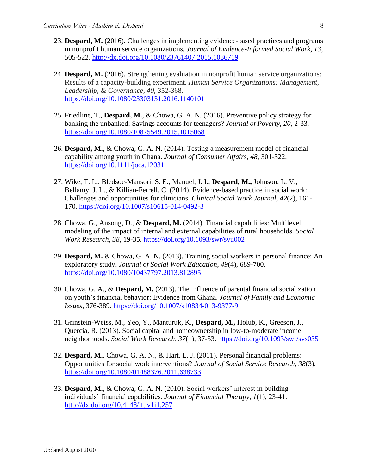- 23. **Despard, M.** (2016). Challenges in implementing evidence-based practices and programs in nonprofit human service organizations. *Journal of Evidence-Informed Social Work, 13,*  505-522.<http://dx.doi.org/10.1080/23761407.2015.1086719>
- 24. **Despard, M.** (2016). Strengthening evaluation in nonprofit human service organizations: Results of a capacity-building experiment. *Human Service Organizations: Management, Leadership, & Governance, 40,* 352-368. <https://doi.org/10.1080/23303131.2016.1140101>
- 25. Friedline, T., **Despard, M.**, & Chowa, G. A. N. (2016). Preventive policy strategy for banking the unbanked: Savings accounts for teenagers? *Journal of Poverty, 20,* 2-33*.* <https://doi.org/10.1080/10875549.2015.1015068>
- 26. **Despard, M.**, & Chowa, G. A. N. (2014). Testing a measurement model of financial capability among youth in Ghana. *Journal of Consumer Affairs, 48*, 301-322. <https://doi.org/10.1111/joca.12031>
- 27. Wike, T. L., Bledsoe-Mansori, S. E., Manuel, J. I., **Despard, M.,** Johnson, L. V., Bellamy, J. L., & Killian-Ferrell, C. (2014). Evidence-based practice in social work: Challenges and opportunities for clinicians. *Clinical Social Work Journal, 42*(2), 161- 170*.* <https://doi.org/10.1007/s10615-014-0492-3>
- 28. Chowa, G., Ansong, D., & **Despard, M.** (2014). Financial capabilities: Multilevel modeling of the impact of internal and external capabilities of rural households. *Social Work Research*, *38,* 19-35. <https://doi.org/10.1093/swr/svu002>
- 29. **Despard, M.** & Chowa, G. A. N. (2013). Training social workers in personal finance: An exploratory study. *Journal of Social Work Education*, *49*(4), 689-700. <https://doi.org/10.1080/10437797.2013.812895>
- 30. Chowa, G. A., & **Despard, M.** (2013). The influence of parental financial socialization on youth's financial behavior: Evidence from Ghana. *Journal of Family and Economic Issues*, 376-389.<https://doi.org/10.1007/s10834-013-9377-9>
- 31. Grinstein-Weiss, M., Yeo, Y., Manturuk, K., **Despard, M.,** Holub, K., Greeson, J., Quercia, R. (2013). Social capital and homeownership in low-to-moderate income neighborhoods. *Social Work Research, 37*(1), 37-53.<https://doi.org/10.1093/swr/svs035>
- 32. **Despard, M.**, Chowa, G. A. N., & Hart, L. J. (2011). Personal financial problems: Opportunities for social work interventions? *Journal of Social Service Research*, *38*(3). <https://doi.org/10.1080/01488376.2011.638733>
- 33. **Despard, M.,** & Chowa, G. A. N. (2010). Social workers' interest in building individuals' financial capabilities. *Journal of Financial Therapy, 1*(1), 23-41. <http://dx.doi.org/10.4148/jft.v1i1.257>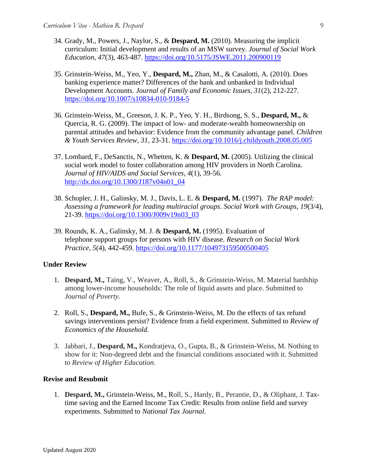- 34. Grady, M., Powers, J., Naylor, S., & **Despard, M.** (2010). Measuring the implicit curriculum: Initial development and results of an MSW survey. *Journal of Social Work Education, 47*(3), 463-487.<https://doi.org/10.5175/JSWE.2011.200900119>
- 35. Grinstein-Weiss, M., Yeo, Y., **Despard, M.,** Zhan, M., & Casalotti, A. (2010). Does banking experience matter? Differences of the bank and unbanked in Individual Development Accounts. *Journal of Family and Economic Issues, 31*(2), 212-227. <https://doi.org/10.1007/s10834-010-9184-5>
- 36. Grinstein-Weiss, M., Greeson, J. K. P., Yeo, Y. H., Birdsong, S. S., **Despard, M.,** & Quercia, R. G. (2009). The impact of low- and moderate-wealth homeownership on parental attitudes and behavior: Evidence from the community advantage panel. *Children & Youth Services Review, 31*, 23-31. <https://doi.org/10.1016/j.childyouth.2008.05.005>
- 37. Lombard, F., DeSanctis, N., Whetten, K. & **Despard, M.** (2005). Utilizing the clinical social work model to foster collaboration among HIV providers in North Carolina. *Journal of HIV/AIDS and Social Services, 4*(1), 39-56. [http://dx.doi.org/10.1300/J187v04n01\\_04](http://dx.doi.org/10.1300/J187v04n01_04)
- 38. Schopler, J. H., Galinsky, M. J., Davis, L. E. & **Despard, M.** (1997).*The RAP model: Assessing a framework for leading multiracial groups. Social Work with Groups*, *19*(3/4), 21-39. [https://doi.org/10.1300/J009v19n03\\_03](https://doi.org/10.1300/J009v19n03_03)
- 39. Rounds, K. A., Galinsky, M. J. & **Despard, M.** (1995). Evaluation of telephone support groups for persons with HIV disease. *Research on Social Work Practice, 5*(4), 442-459. <https://doi.org/10.1177/104973159500500405>

#### **Under Review**

- 1. **Despard, M.,** Taing, V., Weaver, A., Roll, S., & Grinstein-Weiss, M. Material hardship among lower-income households: The role of liquid assets and place. Submitted to *Journal of Poverty.*
- 2. Roll, S., **Despard, M.,** Bufe, S., & Grinstein-Weiss, M. Do the effects of tax refund savings interventions persist? Evidence from a field experiment. Submitted to *Review of Economics of the Household.*
- 3. Jabbari, J., **Despard, M.,** Kondratjeva, O., Gupta, B., & Grinstein-Weiss, M. Nothing to show for it: Non-degreed debt and the financial conditions associated with it. Submitted to *Review of Higher Education.*

#### **Revise and Resubmit**

1. **Despard, M.,** Grinstein-Weiss, M., Roll, S., Hardy, B., Perantie, D., & Oliphant, J. Taxtime saving and the Earned Income Tax Credit: Results from online field and survey experiments. Submitted to *National Tax Journal.*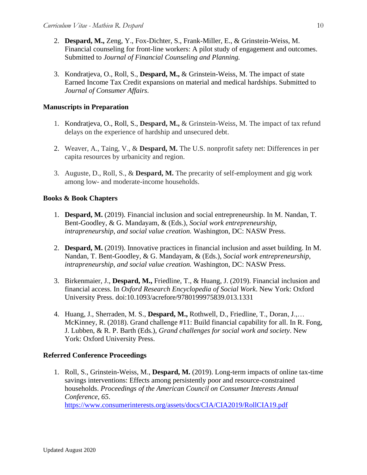- 2. **Despard, M.,** Zeng, Y., Fox-Dichter, S., Frank-Miller, E., & Grinstein-Weiss, M. Financial counseling for front-line workers: A pilot study of engagement and outcomes. Submitted to *Journal of Financial Counseling and Planning.*
- 3. Kondratjeva, O., Roll, S., **Despard, M.,** & Grinstein-Weiss, M. The impact of state Earned Income Tax Credit expansions on material and medical hardships. Submitted to *Journal of Consumer Affairs.*

# **Manuscripts in Preparation**

- 1. Kondratjeva, O., Roll, S., **Despard, M.,** & Grinstein-Weiss, M. The impact of tax refund delays on the experience of hardship and unsecured debt.
- 2. Weaver, A., Taing, V., & **Despard, M.** The U.S. nonprofit safety net: Differences in per capita resources by urbanicity and region.
- 3. Auguste, D., Roll, S., & **Despard, M.** The precarity of self-employment and gig work among low- and moderate-income households.

# **Books & Book Chapters**

- 1. **Despard, M.** (2019). Financial inclusion and social entrepreneurship. In M. Nandan, T. Bent-Goodley, & G. Mandayam, & (Eds.), *Social work entrepreneurship, intrapreneurship, and social value creation.* Washington, DC: NASW Press.
- 2. **Despard, M.** (2019). Innovative practices in financial inclusion and asset building. In M. Nandan, T. Bent-Goodley, & G. Mandayam, & (Eds.), *Social work entrepreneurship, intrapreneurship, and social value creation.* Washington, DC: NASW Press.
- 3. Birkenmaier, J., **Despard, M.,** Friedline, T., & Huang, J. (2019). Financial inclusion and financial access. In *Oxford Research Encyclopedia of Social Work*. New York: Oxford University Press. doi:10.1093/acrefore/9780199975839.013.1331
- 4. Huang, J., Sherraden, M. S., **Despard, M.,** Rothwell, D., Friedline, T., Doran, J.,… McKinney, R. (2018). Grand challenge #11: Build financial capability for all. In R. Fong, J. Lubben, & R. P. Barth (Eds.), *Grand challenges for social work and society*. New York: Oxford University Press.

## **Referred Conference Proceedings**

1. Roll, S., Grinstein-Weiss, M., **Despard, M.** (2019). Long-term impacts of online tax-time savings interventions: Effects among persistently poor and resource-constrained households. *Proceedings of the American Council on Consumer Interests Annual Conference, 65*. <https://www.consumerinterests.org/assets/docs/CIA/CIA2019/RollCIA19.pdf>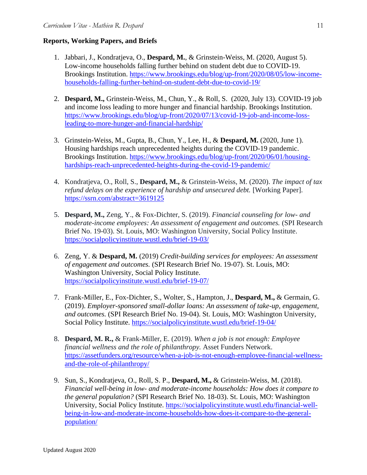# **Reports, Working Papers, and Briefs**

- 1. Jabbari, J., Kondratjeva, O., **Despard, M.**, & Grinstein-Weiss, M. (2020, August 5). Low-income households falling further behind on student debt due to COVID-19. Brookings Institution. [https://www.brookings.edu/blog/up-front/2020/08/05/low-income](https://www.brookings.edu/blog/up-front/2020/08/05/low-income-households-falling-further-behind-on-student-debt-due-to-covid-19/)[households-falling-further-behind-on-student-debt-due-to-covid-19/](https://www.brookings.edu/blog/up-front/2020/08/05/low-income-households-falling-further-behind-on-student-debt-due-to-covid-19/)
- 2. **Despard, M.,** Grinstein-Weiss, M., Chun, Y., & Roll, S. (2020, July 13). COVID-19 job and income loss leading to more hunger and financial hardship. Brookings Institution. [https://www.brookings.edu/blog/up-front/2020/07/13/covid-19-job-and-income-loss](https://www.brookings.edu/blog/up-front/2020/07/13/covid-19-job-and-income-loss-leading-to-more-hunger-and-financial-hardship/)[leading-to-more-hunger-and-financial-hardship/](https://www.brookings.edu/blog/up-front/2020/07/13/covid-19-job-and-income-loss-leading-to-more-hunger-and-financial-hardship/)
- 3. Grinstein-Weiss, M., Gupta, B., Chun, Y., Lee, H., & **Despard, M.** (2020, June 1). Housing hardships reach unprecedented heights during the COVID-19 pandemic. Brookings Institution. [https://www.brookings.edu/blog/up-front/2020/06/01/housing](https://www.brookings.edu/blog/up-front/2020/06/01/housing-hardships-reach-unprecedented-heights-during-the-covid-19-pandemic/)[hardships-reach-unprecedented-heights-during-the-covid-19-pandemic/](https://www.brookings.edu/blog/up-front/2020/06/01/housing-hardships-reach-unprecedented-heights-during-the-covid-19-pandemic/)
- 4. Kondratjeva, O., Roll, S., **Despard, M.,** & Grinstein-Weiss, M. (2020). *The impact of tax refund delays on the experience of hardship and unsecured debt.* [Working Paper]. <https://ssrn.com/abstract=3619125>
- 5. **Despard, M.,** Zeng, Y., & Fox-Dichter, S. (2019). *Financial counseling for low- and moderate-income employees: An assessment of engagement and outcomes.* (SPI Research Brief No. 19-03). St. Louis, MO: Washington University, Social Policy Institute. <https://socialpolicyinstitute.wustl.edu/brief-19-03/>
- 6. Zeng, Y. & **Despard, M.** (2019) *Credit-building services for employees: An assessment of engagement and outcomes.* (SPI Research Brief No. 19-07). St. Louis, MO: Washington University, Social Policy Institute. <https://socialpolicyinstitute.wustl.edu/brief-19-07/>
- 7. Frank-Miller, E., Fox-Dichter, S., Wolter, S., Hampton, J., **Despard, M.,** & Germain, G. (2019). *Employer-sponsored small-dollar loans: An assessment of take-up, engagement, and outcomes.* (SPI Research Brief No. 19-04). St. Louis, MO: Washington University, Social Policy Institute. <https://socialpolicyinstitute.wustl.edu/brief-19-04/>
- 8. **Despard, M. R.,** & Frank-Miller, E. (2019). *When a job is not enough: Employee financial wellness and the role of philanthropy.* Asset Funders Network. [https://assetfunders.org/resource/when-a-job-is-not-enough-employee-financial-wellness](https://assetfunders.org/resource/when-a-job-is-not-enough-employee-financial-wellness-and-the-role-of-philanthropy/)[and-the-role-of-philanthropy/](https://assetfunders.org/resource/when-a-job-is-not-enough-employee-financial-wellness-and-the-role-of-philanthropy/)
- 9. Sun, S., Kondratjeva, O., Roll, S. P., **Despard, M.,** & Grinstein-Weiss, M. (2018). *Financial well-being in low- and moderate-income households: How does it compare to the general population?* (SPI Research Brief No. 18-03). St. Louis, MO: Washington University, Social Policy Institute. [https://socialpolicyinstitute.wustl.edu/financial-well](https://socialpolicyinstitute.wustl.edu/financial-well-being-in-low-and-moderate-income-households-how-does-it-compare-to-the-general-population/)[being-in-low-and-moderate-income-households-how-does-it-compare-to-the-general](https://socialpolicyinstitute.wustl.edu/financial-well-being-in-low-and-moderate-income-households-how-does-it-compare-to-the-general-population/)[population/](https://socialpolicyinstitute.wustl.edu/financial-well-being-in-low-and-moderate-income-households-how-does-it-compare-to-the-general-population/)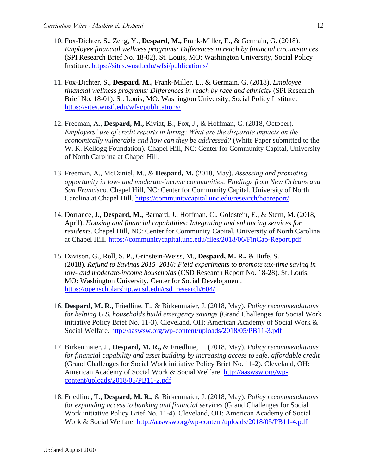- 10. Fox-Dichter, S., Zeng, Y., **Despard, M.,** Frank-Miller, E., & Germain, G. (2018). *Employee financial wellness programs: Differences in reach by financial circumstances* (SPI Research Brief No. 18-02). St. Louis, MO: Washington University, Social Policy Institute. <https://sites.wustl.edu/wfsi/publications/>
- 11. Fox-Dichter, S., **Despard, M.,** Frank-Miller, E., & Germain, G. (2018). *Employee financial wellness programs: Differences in reach by race and ethnicity* (SPI Research Brief No. 18-01). St. Louis, MO: Washington University, Social Policy Institute. <https://sites.wustl.edu/wfsi/publications/>
- 12. Freeman, A., **Despard, M.,** Kiviat, B., Fox, J., & Hoffman, C. (2018, October). *Employers' use of credit reports in hiring: What are the disparate impacts on the economically vulnerable and how can they be addressed?* (White Paper submitted to the W. K. Kellogg Foundation)*.* Chapel Hill, NC: Center for Community Capital, University of North Carolina at Chapel Hill.
- 13. Freeman, A., McDaniel, M., & **Despard, M.** (2018, May). *Assessing and promoting opportunity in low- and moderate-income communities: Findings from New Orleans and San Francisco.* Chapel Hill, NC: Center for Community Capital, University of North Carolina at Chapel Hill.<https://communitycapital.unc.edu/research/hoareport/>
- 14. Dorrance, J., **Despard, M.,** Barnard, J., Hoffman, C., Goldstein, E., & Stern, M. (2018, April). *Housing and financial capabilities: Integrating and enhancing services for residents.* Chapel Hill, NC: Center for Community Capital, University of North Carolina at Chapel Hill.<https://communitycapital.unc.edu/files/2018/06/FinCap-Report.pdf>
- 15. Davison, G., Roll, S. P., Grinstein-Weiss, M., **Despard, M. R.,** & Bufe, S. (2018). *Refund to Savings 2015–2016: Field experiments to promote tax-time saving in low- and moderate-income households* (CSD Research Report No. 18-28). St. Louis, MO: Washington University, Center for Social Development. [https://openscholarship.wustl.edu/csd\\_research/604/](https://openscholarship.wustl.edu/csd_research/604/)
- 16. **Despard, M. R.,** Friedline, T., & Birkenmaier, J. (2018, May). *Policy recommendations for helping U.S. households build emergency savings* (Grand Challenges for Social Work initiative Policy Brief No. 11-3). Cleveland, OH: American Academy of Social Work & Social Welfare. <http://aaswsw.org/wp-content/uploads/2018/05/PB11-3.pdf>
- 17. Birkenmaier, J., **Despard, M. R.,** & Friedline, T. (2018, May). *Policy recommendations for financial capability and asset building by increasing access to safe, affordable credit* (Grand Challenges for Social Work initiative Policy Brief No. 11-2). Cleveland, OH: American Academy of Social Work & Social Welfare. [http://aaswsw.org/wp](http://aaswsw.org/wp-content/uploads/2018/05/PB11-2.pdf)[content/uploads/2018/05/PB11-2.pdf](http://aaswsw.org/wp-content/uploads/2018/05/PB11-2.pdf)
- 18. Friedline, T., **Despard, M. R.,** & Birkenmaier, J. (2018, May). *Policy recommendations for expanding access to banking and financial services* (Grand Challenges for Social Work initiative Policy Brief No. 11-4). Cleveland, OH: American Academy of Social Work & Social Welfare.<http://aaswsw.org/wp-content/uploads/2018/05/PB11-4.pdf>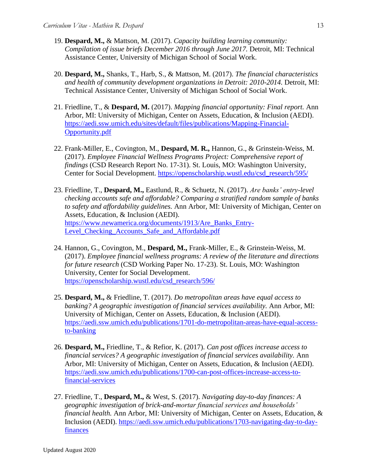- 19. **Despard, M.,** & Mattson, M. (2017). *Capacity building learning community: Compilation of issue briefs December 2016 through June 2017.* Detroit, MI: Technical Assistance Center, University of Michigan School of Social Work.
- 20. **Despard, M.,** Shanks, T., Harb, S., & Mattson, M. (2017). *The financial characteristics and health of community development organizations in Detroit: 2010-2014. Detroit, MI:* Technical Assistance Center, University of Michigan School of Social Work.
- 21. Friedline, T., & **Despard, M.** (2017). *Mapping financial opportunity: Final report.* Ann Arbor, MI: University of Michigan, Center on Assets, Education, & Inclusion (AEDI). [https://aedi.ssw.umich.edu/sites/default/files/publications/Mapping-Financial-](https://aedi.ssw.umich.edu/sites/default/files/publications/Mapping-Financial-Opportunity.pdf)[Opportunity.pdf](https://aedi.ssw.umich.edu/sites/default/files/publications/Mapping-Financial-Opportunity.pdf)
- 22. Frank-Miller, E., Covington, M., **Despard, M. R.,** Hannon, G., & Grinstein-Weiss, M. (2017). *Employee Financial Wellness Programs Project: Comprehensive report of findings* (CSD Research Report No. 17-31). St. Louis, MO: Washington University, Center for Social Development. [https://openscholarship.wustl.edu/csd\\_research/595/](https://openscholarship.wustl.edu/csd_research/595/)
- 23. Friedline, T., **Despard, M.,** Eastlund, R., & Schuetz, N. (2017). *Are banks' entry-level checking accounts safe and affordable? Comparing a stratified random sample of banks to safety and affordability guidelines.* Ann Arbor, MI: University of Michigan, Center on Assets, Education, & Inclusion (AEDI). [https://www.newamerica.org/documents/1913/Are\\_Banks\\_Entry-](https://www.newamerica.org/documents/1913/Are_Banks_Entry-Level_Checking_Accounts_Safe_and_Affordable.pdf)Level Checking Accounts Safe and Affordable.pdf
- 24. Hannon, G., Covington, M., **Despard, M.,** Frank-Miller, E., & Grinstein-Weiss, M. (2017). *Employee financial wellness programs: A review of the literature and directions for future research* (CSD Working Paper No. 17-23). St. Louis, MO: Washington University, Center for Social Development. [https://openscholarship.wustl.edu/csd\\_research/596/](https://openscholarship.wustl.edu/csd_research/596/)
- 25. **Despard, M.,** & Friedline, T. (2017). *Do metropolitan areas have equal access to banking? A geographic investigation of financial services availability.* Ann Arbor, MI: University of Michigan, Center on Assets, Education, & Inclusion (AEDI). [https://aedi.ssw.umich.edu/publications/1701-do-metropolitan-areas-have-equal-access](https://aedi.ssw.umich.edu/publications/1701-do-metropolitan-areas-have-equal-access-to-banking)[to-banking](https://aedi.ssw.umich.edu/publications/1701-do-metropolitan-areas-have-equal-access-to-banking)
- 26. **Despard, M.,** Friedline, T., & Refior, K. (2017). *Can post offices increase access to financial services? A geographic investigation of financial services availability.* Ann Arbor, MI: University of Michigan, Center on Assets, Education, & Inclusion (AEDI). [https://aedi.ssw.umich.edu/publications/1700-can-post-offices-increase-access-to](https://aedi.ssw.umich.edu/publications/1700-can-post-offices-increase-access-to-financial-services)[financial-services](https://aedi.ssw.umich.edu/publications/1700-can-post-offices-increase-access-to-financial-services)
- 27. Friedline, T., **Despard, M.,** & West, S. (2017). *Navigating day-to-day finances: A geographic investigation of brick-and-mortar financial services and households' financial health.* Ann Arbor, MI: University of Michigan, Center on Assets, Education, & Inclusion (AEDI). [https://aedi.ssw.umich.edu/publications/1703-navigating-day-to-day](https://aedi.ssw.umich.edu/publications/1703-navigating-day-to-day-finances)[finances](https://aedi.ssw.umich.edu/publications/1703-navigating-day-to-day-finances)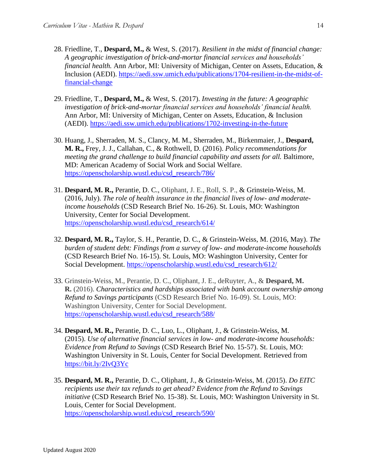- 28. Friedline, T., **Despard, M.,** & West, S. (2017). *Resilient in the midst of financial change: A geographic investigation of brick-and-mortar financial services and households' financial health.* Ann Arbor, MI: University of Michigan, Center on Assets, Education, & Inclusion (AEDI). [https://aedi.ssw.umich.edu/publications/1704-resilient-in-the-midst-of](https://aedi.ssw.umich.edu/publications/1704-resilient-in-the-midst-of-financial-change)[financial-change](https://aedi.ssw.umich.edu/publications/1704-resilient-in-the-midst-of-financial-change)
- 29. Friedline, T., **Despard, M.,** & West, S. (2017). *Investing in the future: A geographic investigation of brick-and-mortar financial services and households' financial health.* Ann Arbor, MI: University of Michigan, Center on Assets, Education, & Inclusion (AEDI). <https://aedi.ssw.umich.edu/publications/1702-investing-in-the-future>
- 30. Huang, J., Sherraden, M. S., Clancy, M. M., Sherraden, M., Birkenmaier, J., **Despard, M. R.,** Frey, J. J., Callahan, C., & Rothwell, D. (2016). *Policy recommendations for meeting the grand challenge to build financial capability and assets for all. Baltimore,* MD: American Academy of Social Work and Social Welfare. [https://openscholarship.wustl.edu/csd\\_research/786/](https://openscholarship.wustl.edu/csd_research/786/)
- 31. **Despard, M. R.,** Perantie, D. C., Oliphant, J. E., Roll, S. P., & Grinstein-Weiss, M. (2016, July). *The role of health insurance in the financial lives of low- and moderateincome households* (CSD Research Brief No. 16-26). St. Louis, MO: Washington University, Center for Social Development. [https://openscholarship.wustl.edu/csd\\_research/614/](https://openscholarship.wustl.edu/csd_research/614/)
- 32. **Despard, M. R.,** Taylor, S. H., Perantie, D. C., & Grinstein-Weiss, M. (2016, May). *The burden of student debt: Findings from a survey of low- and moderate-income households* (CSD Research Brief No. 16-15). St. Louis, MO: Washington University, Center for Social Development. [https://openscholarship.wustl.edu/csd\\_research/612/](https://openscholarship.wustl.edu/csd_research/612/)
- 33. Grinstein-Weiss, M., Perantie, D. C., Oliphant, J. E., deRuyter, A., & **Despard, M. R.** (2016). *Characteristics and hardships associated with bank account ownership among Refund to Savings participants* (CSD Research Brief No. 16-09). St. Louis, MO: Washington University, Center for Social Development. [https://openscholarship.wustl.edu/csd\\_research/588/](https://openscholarship.wustl.edu/csd_research/588/)
- 34. **Despard, M. R.,** Perantie, D. C., Luo, L., Oliphant, J., & Grinstein-Weiss, M. (2015). *Use of alternative financial services in low- and moderate-income households: Evidence from Refund to Savings* (CSD Research Brief No. 15-57). St. Louis, MO: Washington University in St. Louis, Center for Social Development. Retrieved from <https://bit.ly/2IvQ3Yc>
- 35. **Despard, M. R.,** Perantie, D. C., Oliphant, J., & Grinstein-Weiss, M. (2015). *Do EITC recipients use their tax refunds to get ahead? Evidence from the Refund to Savings initiative* (CSD Research Brief No. 15-38). St. Louis, MO: Washington University in St. Louis, Center for Social Development. [https://openscholarship.wustl.edu/csd\\_research/590/](https://openscholarship.wustl.edu/csd_research/590/)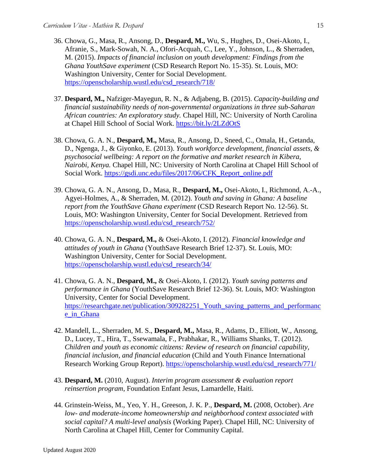- 36. Chowa, G., Masa, R., Ansong, D., **Despard, M.,** Wu, S., Hughes, D., Osei-Akoto, I., Afranie, S., Mark-Sowah, N. A., Ofori-Acquah, C., Lee, Y., Johnson, L., & Sherraden, M. (2015). *Impacts of financial inclusion on youth development: Findings from the Ghana YouthSave experiment* (CSD Research Report No. 15-35). St. Louis, MO: Washington University, Center for Social Development. [https://openscholarship.wustl.edu/csd\\_research/718/](https://openscholarship.wustl.edu/csd_research/718/)
- 37. **Despard, M.,** Nafziger-Mayegun, R. N., & Adjabeng, B. (2015). *Capacity-building and financial sustainability needs of non-governmental organizations in three sub-Saharan African countries: An exploratory study.* Chapel Hill, NC: University of North Carolina at Chapel Hill School of Social Work. <https://bit.ly/2LZdOtS>
- 38. Chowa, G. A. N., **Despard, M.,** Masa, R., Ansong, D., Sneed, C., Omala, H., Getanda, D., Ngenga, J., & Giyonko, E. (2013). *Youth workforce development, financial assets, & psychosocial wellbeing: A report on the formative and market research in Kibera, Nairobi, Kenya.* Chapel Hill, NC: University of North Carolina at Chapel Hill School of Social Work. [https://gsdi.unc.edu/files/2017/06/CFK\\_Report\\_online.pdf](https://gsdi.unc.edu/files/2017/06/CFK_Report_online.pdf)
- 39. Chowa, G. A. N., Ansong, D., Masa, R., **Despard, M.,** Osei-Akoto, I., Richmond, A.-A., Agyei-Holmes, A., & Sherraden, M. (2012). *Youth and saving in Ghana: A baseline report from the YouthSave Ghana experiment* (CSD Research Report No. 12-56). St. Louis, MO: Washington University, Center for Social Development. Retrieved from [https://openscholarship.wustl.edu/csd\\_research/752/](https://openscholarship.wustl.edu/csd_research/752/)
- 40. Chowa, G. A. N., **Despard, M.,** & Osei-Akoto, I. (2012). *[Financial knowledge and](http://csd.wustl.edu/Publications/Documents/RB12-37.pdf)  [attitudes of youth in Ghana](http://csd.wustl.edu/Publications/Documents/RB12-37.pdf)* (YouthSave Research Brief 12-37). St. Louis, MO: Washington University, Center for Social Development. [https://openscholarship.wustl.edu/csd\\_research/34/](https://openscholarship.wustl.edu/csd_research/34/)
- 41. Chowa, G. A. N., **Despard, M.,** & Osei-Akoto, I. (2012). *[Youth saving patterns and](http://csd.wustl.edu/Publications/Documents/RB12-36.pdf)  [performance in Ghana](http://csd.wustl.edu/Publications/Documents/RB12-36.pdf)* (YouthSave Research Brief 12-36). St. Louis, MO: Washington University, Center for Social Development. [https://researchgate.net/publication/309282251\\_Youth\\_saving\\_patterns\\_and\\_performanc](https://researchgate.net/publication/309282251_Youth_saving_patterns_and_performance_in_Ghana) [e\\_in\\_Ghana](https://researchgate.net/publication/309282251_Youth_saving_patterns_and_performance_in_Ghana)
- 42. Mandell, L., Sherraden, M. S., **Despard, M.,** Masa, R., Adams, D., Elliott, W., Ansong, D., Lucey, T., Hira, T., Ssewamala, F., Prabhakar, R., Williams Shanks, T. (2012). *Children and youth as economic citizens: Review of research on financial capability, financial inclusion, and financial education* (Child and Youth Finance International Research Working Group Report). [https://openscholarship.wustl.edu/csd\\_research/771/](https://openscholarship.wustl.edu/csd_research/771/)
- 43. **Despard, M.** (2010, August). *Interim program assessment & evaluation report reinsertion program*, Foundation Enfant Jesus, Lamardelle, Haiti.
- 44. Grinstein-Weiss, M., Yeo, Y. H., Greeson, J. K. P., **Despard, M.** (2008, October). *Are low- and moderate-income homeownership and neighborhood context associated with social capital? A multi-level analysis* (Working Paper). Chapel Hill, NC: University of North Carolina at Chapel Hill, Center for Community Capital.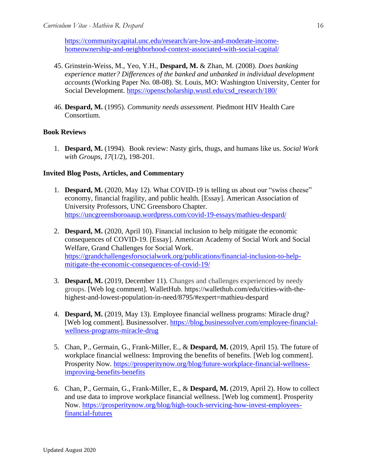[https://communitycapital.unc.edu/research/are-low-and-moderate-income](https://communitycapital.unc.edu/research/are-low-and-moderate-income-homeownership-and-neighborhood-context-associated-with-social-capital/)[homeownership-and-neighborhood-context-associated-with-social-capital/](https://communitycapital.unc.edu/research/are-low-and-moderate-income-homeownership-and-neighborhood-context-associated-with-social-capital/)

- 45. Grinstein-Weiss, M., Yeo, Y.H., **Despard, M.** & Zhan, M. (2008). *Does banking experience matter? Differences of the banked and unbanked in individual development accounts* (Working Paper No. 08-08). St. Louis, MO: Washington University, Center for Social Development. [https://openscholarship.wustl.edu/csd\\_research/180/](https://openscholarship.wustl.edu/csd_research/180/)
- 46. **Despard, M.** (1995). *Community needs assessment.* Piedmont HIV Health Care Consortium.

# **Book Reviews**

1. **Despard, M.** (1994).Book review: Nasty girls, thugs, and humans like us. *Social Work with Groups, 17*(1/2), 198-201.

### **Invited Blog Posts, Articles, and Commentary**

- 1. **Despard, M.** (2020, May 12). What COVID-19 is telling us about our "swiss cheese" economy, financial fragility, and public health. [Essay]. American Association of University Professors, UNC Greensboro Chapter. <https://uncgreensboroaaup.wordpress.com/covid-19-essays/mathieu-despard/>
- 2. **Despard, M.** (2020, April 10). Financial inclusion to help mitigate the economic consequences of COVID-19. [Essay]. American Academy of Social Work and Social Welfare, Grand Challenges for Social Work. [https://grandchallengesforsocialwork.org/publications/financial-inclusion-to-help](https://grandchallengesforsocialwork.org/publications/financial-inclusion-to-help-mitigate-the-economic-consequences-of-covid-19/)[mitigate-the-economic-consequences-of-covid-19/](https://grandchallengesforsocialwork.org/publications/financial-inclusion-to-help-mitigate-the-economic-consequences-of-covid-19/)
- 3. **Despard, M.** (2019, December 11). Changes and challenges experienced by needy groups. [Web log comment]. WalletHub. https://wallethub.com/edu/cities-with-thehighest-and-lowest-population-in-need/8795/#expert=mathieu-despard
- 4. **Despard, M.** (2019, May 13). Employee financial wellness programs: Miracle drug? [Web log comment]. Businessolver. [https://blog.businessolver.com/employee-financial](https://blog.businessolver.com/employee-financial-wellness-programs-miracle-drug)[wellness-programs-miracle-drug](https://blog.businessolver.com/employee-financial-wellness-programs-miracle-drug)
- 5. Chan, P., Germain, G., Frank-Miller, E., & **Despard, M.** (2019, April 15). The future of workplace financial wellness: Improving the benefits of benefits. [Web log comment]. Prosperity Now. [https://prosperitynow.org/blog/future-workplace-financial-wellness](https://prosperitynow.org/blog/future-workplace-financial-wellness-improving-benefits-benefits)[improving-benefits-benefits](https://prosperitynow.org/blog/future-workplace-financial-wellness-improving-benefits-benefits)
- 6. Chan, P., Germain, G., Frank-Miller, E., & **Despard, M.** (2019, April 2). How to collect and use data to improve workplace financial wellness. [Web log comment]. Prosperity Now. [https://prosperitynow.org/blog/high-touch-servicing-how-invest-employees](https://prosperitynow.org/blog/high-touch-servicing-how-invest-employees-financial-futures)[financial-futures](https://prosperitynow.org/blog/high-touch-servicing-how-invest-employees-financial-futures)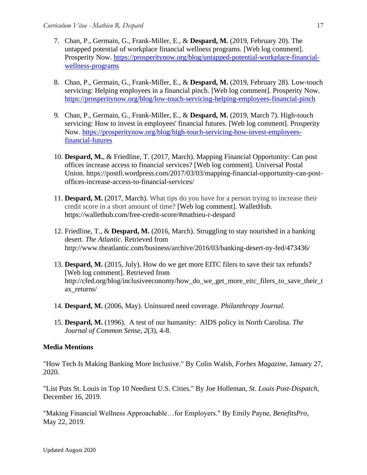- 7. Chan, P., Germain, G., Frank-Miller, E., & **Despard, M.** (2019, February 20). The untapped potential of workplace financial wellness programs. [Web log comment]. Prosperity Now. [https://prosperitynow.org/blog/untapped-potential-workplace-financial](https://prosperitynow.org/blog/untapped-potential-workplace-financial-wellness-programs)[wellness-programs](https://prosperitynow.org/blog/untapped-potential-workplace-financial-wellness-programs)
- 8. Chan, P., Germain, G., Frank-Miller, E., & **Despard, M.** (2019, February 28). Low-touch servicing: Helping employees in a financial pinch. [Web log comment]. Prosperity Now. <https://prosperitynow.org/blog/low-touch-servicing-helping-employees-financial-pinch>
- 9. Chan, P., Germain, G., Frank-Miller, E., & **Despard, M.** (2019, March 7). High-touch servicing: How to invest in employees' financial futures. [Web log comment]. Prosperity Now. [https://prosperitynow.org/blog/high-touch-servicing-how-invest-employees](https://prosperitynow.org/blog/high-touch-servicing-how-invest-employees-financial-futures)[financial-futures](https://prosperitynow.org/blog/high-touch-servicing-how-invest-employees-financial-futures)
- 10. **Despard, M.**, & Friedline, T. (2017, March). Mapping Financial Opportunity: Can post offices increase access to financial services? [Web log comment]. Universal Postal Union. https://postfi.wordpress.com/2017/03/03/mapping-financial-opportunity-can-postoffices-increase-access-to-financial-services/
- 11. **Despard, M.** (2017, March). What tips do you have for a person trying to increase their credit score in a short amount of time? [Web log comment]. WalletHub. https://wallethub.com/free-credit-score/#mathieu-r-despard
- 12. Friedline, T., & **Despard, M.** (2016, March). Struggling to stay nourished in a banking desert. *The Atlantic.* Retrieved from http://www.theatlantic.com/business/archive/2016/03/banking-desert-ny-fed/473436/
- 13. **Despard, M.** (2015, July). How do we get more EITC filers to save their tax refunds? [Web log comment]. Retrieved from http://cfed.org/blog/inclusiveeconomy/how do we get more eitc filers to save their t ax\_returns/
- 14. **Despard, M.** (2006, May). Uninsured need coverage. *Philanthropy Journal.*
- 15. **Despard, M.** (1996). A test of our humanity: AIDS policy in North Carolina. *The Journal of Common Sense*, *2*(3), 4-8.

# **Media Mentions**

"How Tech Is Making Banking More Inclusive." By Colin Walsh, *Forbes Magazine*, January 27, 2020.

"List Puts St. Louis in Top 10 Neediest U.S. Cities." By Joe Holleman, *St. Louis Post-Dispatch*, December 16, 2019.

"Making Financial Wellness Approachable…for Employers." By Emily Payne, *BenefitsPro,*  May 22, 2019.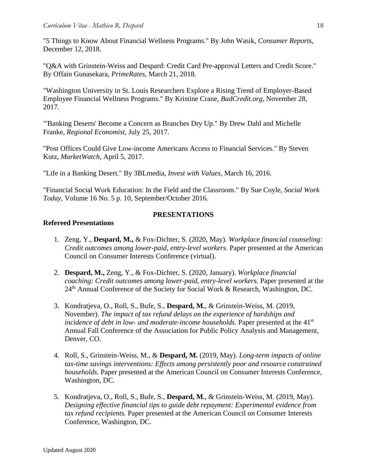"5 Things to Know About Financial Wellness Programs." By John Wasik, *Consumer Reports*, December 12, 2018.

"Q&A with Grinstein-Weiss and Despard: Credit Card Pre-approval Letters and Credit Score." By Offain Gunasekara, *PrimeRates,* March 21, 2018.

"Washington University in St. Louis Researchers Explore a Rising Trend of Employer-Based Employee Financial Wellness Programs." By Kristine Crane, *BadCredit.org*, November 28, 2017.

"'Banking Deserts' Become a Concern as Branches Dry Up." By Drew Dahl and Michelle Franke, *Regional Economist,* July 25, 2017.

"Post Offices Could Give Low-income Americans Access to Financial Services." By Steven Kutz, *MarketWatch,* April 5, 2017.

"Life in a Banking Desert." By 3BLmedia, *Invest with Values,* March 16, 2016.

"Financial Social Work Education: In the Field and the Classroom." By Sue Coyle, *Social Work Today,* Volume 16 No. 5 p. 10, September/October 2016.

### **PRESENTATIONS**

## **Refereed Presentations**

- 1. Zeng, Y., **Despard, M.,** & Fox-Dichter, S. (2020, May). *Workplace financial counseling: Credit outcomes among lower-paid, entry-level workers.* Paper presented at the American Council on Consumer Interests Conference (virtual).
- 2. **Despard, M.,** Zeng, Y., & Fox-Dichter, S. (2020, January). *Workplace financial coaching: Credit outcomes among lower-paid, entry-level workers.* Paper presented at the 24<sup>th</sup> Annual Conference of the Society for Social Work & Research, Washington, DC.
- 3. Kondratjeva, O., Roll, S., Bufe, S., **Despard, M.**, & Grinstein-Weiss, M. (2019, November). *The impact of tax refund delays on the experience of hardships and incidence of debt in low- and moderate-income households.* Paper presented at the 41<sup>st</sup> Annual Fall Conference of the Association for Public Policy Analysis and Management, Denver, CO.
- 4. Roll, S., Grinstein-Weiss, M., & **Despard, M.** (2019, May). *Long-term impacts of online tax-time savings interventions: Effects among persistently poor and resource constrained households.* Paper presented at the American Council on Consumer Interests Conference, Washington, DC.
- 5. Kondratjeva, O., Roll, S., Bufe, S., **Despard, M.**, & Grinstein-Weiss, M. (2019, May). *Designing effective financial tips to guide debt repayment: Experimental evidence from tax refund recipients.* Paper presented at the American Council on Consumer Interests Conference, Washington, DC.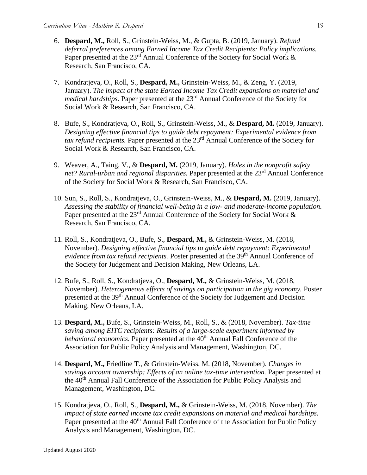- 6. **Despard, M.,** Roll, S., Grinstein-Weiss, M., & Gupta, B. (2019, January). *Refund deferral preferences among Earned Income Tax Credit Recipients: Policy implications.*  Paper presented at the  $23<sup>rd</sup>$  Annual Conference of the Society for Social Work  $\&$ Research, San Francisco, CA.
- 7. Kondratjeva, O., Roll, S., **Despard, M.,** Grinstein-Weiss, M., & Zeng, Y. (2019, January). *The impact of the state Earned Income Tax Credit expansions on material and medical hardships.* Paper presented at the 23<sup>rd</sup> Annual Conference of the Society for Social Work & Research, San Francisco, CA.
- 8. Bufe, S., Kondratjeva, O., Roll, S., Grinstein-Weiss, M., & **Despard, M.** (2019, January). *Designing effective financial tips to guide debt repayment: Experimental evidence from tax refund recipients.* Paper presented at the 23rd Annual Conference of the Society for Social Work & Research, San Francisco, CA.
- 9. Weaver, A., Taing, V., & **Despard, M.** (2019, January). *Holes in the nonprofit safety*  net? Rural-urban and regional disparities. Paper presented at the 23<sup>rd</sup> Annual Conference of the Society for Social Work & Research, San Francisco, CA.
- 10. Sun, S., Roll, S., Kondratjeva, O., Grinstein-Weiss, M., & **Despard, M.** (2019, January). *Assessing the stability of financial well-being in a low- and moderate-income population.*  Paper presented at the  $23<sup>rd</sup>$  Annual Conference of the Society for Social Work  $\&$ Research, San Francisco, CA.
- 11. Roll, S., Kondratjeva, O., Bufe, S., **Despard, M.,** & Grinstein-Weiss, M. (2018, November). *Designing effective financial tips to guide debt repayment: Experimental evidence from tax refund recipients.* Poster presented at the 39<sup>th</sup> Annual Conference of the Society for Judgement and Decision Making, New Orleans, LA.
- 12. Bufe, S., Roll, S., Kondratjeva, O., **Despard, M.,** & Grinstein-Weiss, M. (2018, November). *Heterogeneous effects of savings on participation in the gig economy.* Poster presented at the 39th Annual Conference of the Society for Judgement and Decision Making, New Orleans, LA.
- 13. **Despard, M.,** Bufe, S., Grinstein-Weiss, M., Roll, S., & (2018, November). *Tax-time saving among EITC recipients: Results of a large-scale experiment informed by behavioral economics*. Paper presented at the 40<sup>th</sup> Annual Fall Conference of the Association for Public Policy Analysis and Management, Washington, DC.
- 14. **Despard, M.,** Friedline T., & Grinstein-Weiss, M. (2018, November). *Changes in savings account ownership: Effects of an online tax-time intervention.* Paper presented at the 40<sup>th</sup> Annual Fall Conference of the Association for Public Policy Analysis and Management, Washington, DC.
- 15. Kondratjeva, O., Roll, S., **Despard, M.,** & Grinstein-Weiss, M. (2018, November). *The impact of state earned income tax credit expansions on material and medical hardships.*  Paper presented at the 40<sup>th</sup> Annual Fall Conference of the Association for Public Policy Analysis and Management, Washington, DC.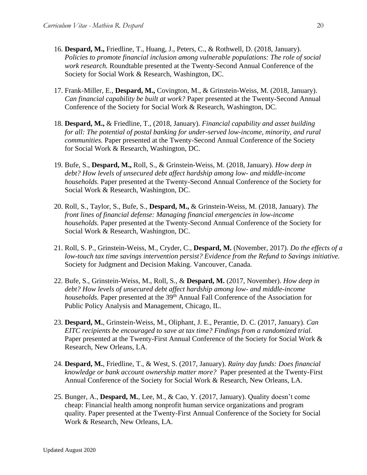- 16. **Despard, M.,** Friedline, T., Huang, J., Peters, C., & Rothwell, D. (2018, January). *Policies to promote financial inclusion among vulnerable populations: The role of social work research.* Roundtable presented at the Twenty-Second Annual Conference of the Society for Social Work & Research, Washington, DC.
- 17. Frank-Miller, E., **Despard, M.,** Covington, M., & Grinstein-Weiss, M. (2018, January). *Can financial capability be built at work?* Paper presented at the Twenty-Second Annual Conference of the Society for Social Work & Research, Washington, DC.
- 18. **Despard, M.,** & Friedline, T., (2018, January). *Financial capability and asset building for all: The potential of postal banking for under-served low-income, minority, and rural communities.* Paper presented at the Twenty-Second Annual Conference of the Society for Social Work & Research, Washington, DC.
- 19. Bufe, S., **Despard, M.,** Roll, S., & Grinstein-Weiss, M. (2018, January). *How deep in debt? How levels of unsecured debt affect hardship among low- and middle-income households.* Paper presented at the Twenty-Second Annual Conference of the Society for Social Work & Research, Washington, DC.
- 20. Roll, S., Taylor, S., Bufe, S., **Despard, M.,** & Grinstein-Weiss, M. (2018, January). *The front lines of financial defense: Managing financial emergencies in low-income households.* Paper presented at the Twenty-Second Annual Conference of the Society for Social Work & Research, Washington, DC.
- 21. Roll, S. P., Grinstein-Weiss, M., Cryder, C., **Despard, M.** (November, 2017). *Do the effects of a low-touch tax time savings intervention persist? Evidence from the Refund to Savings initiative.* Society for Judgment and Decision Making. Vancouver, Canada.
- 22. Bufe, S., Grinstein-Weiss, M., Roll, S., & **Despard, M.** (2017, November). *How deep in debt? How levels of unsecured debt affect hardship among low- and middle-income households*. Paper presented at the 39<sup>th</sup> Annual Fall Conference of the Association for Public Policy Analysis and Management, Chicago, IL.
- 23. **Despard, M.**, Grinstein-Weiss, M., Oliphant, J. E., Perantie, D. C. (2017, January). *Can EITC recipients be encouraged to save at tax time? Findings from a randomized trial.* Paper presented at the Twenty-First Annual Conference of the Society for Social Work & Research, New Orleans, LA.
- 24. **Despard, M.**, Friedline, T., & West, S. (2017, January). *Rainy day funds: Does financial knowledge or bank account ownership matter more?* Paper presented at the Twenty-First Annual Conference of the Society for Social Work & Research, New Orleans, LA.
- 25. Bunger, A., **Despard, M.**, Lee, M., & Cao, Y. (2017, January). Quality doesn't come cheap: Financial health among nonprofit human service organizations and program quality. Paper presented at the Twenty-First Annual Conference of the Society for Social Work & Research, New Orleans, LA.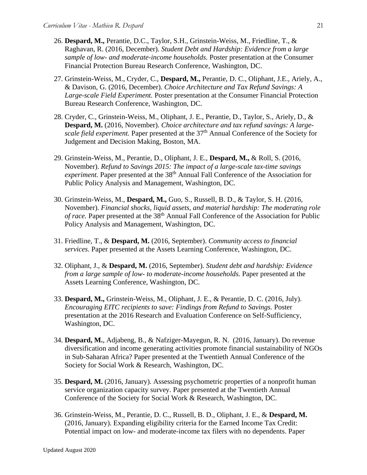- 26. **Despard, M.,** Perantie, D.C., Taylor, S.H., Grinstein-Weiss, M., Friedline, T., & Raghavan, R. (2016, December). *Student Debt and Hardship: Evidence from a large sample of low- and moderate-income households.* Poster presentation at the Consumer Financial Protection Bureau Research Conference, Washington, DC.
- 27. Grinstein-Weiss, M., Cryder, C., **Despard, M.,** Perantie, D. C., Oliphant, J.E., Ariely, A., & Davison, G. (2016, December). *Choice Architecture and Tax Refund Savings: A Large-scale Field Experiment.* Poster presentation at the Consumer Financial Protection Bureau Research Conference, Washington, DC.
- 28. Cryder, C., Grinstein-Weiss, M., Oliphant, J. E., Perantie, D., Taylor, S., Ariely, D., & **Despard, M.** (2016, November). *Choice architecture and tax refund savings: A largescale field experiment.* Paper presented at the 37<sup>th</sup> Annual Conference of the Society for Judgement and Decision Making, Boston, MA.
- 29. Grinstein-Weiss, M., Perantie, D., Oliphant, J. E., **Despard, M.,** & Roll, S. (2016, November). *Refund to Savings 2015: The impact of a large-scale tax-time savings experiment.* Paper presented at the 38<sup>th</sup> Annual Fall Conference of the Association for Public Policy Analysis and Management, Washington, DC.
- 30. Grinstein-Weiss, M., **Despard, M.,** Guo, S., Russell, B. D., & Taylor, S. H. (2016, November). *Financial shocks, liquid assets, and material hardship: The moderating role of race.* Paper presented at the 38<sup>th</sup> Annual Fall Conference of the Association for Public Policy Analysis and Management, Washington, DC.
- 31. Friedline, T., & **Despard, M.** (2016, September). *Community access to financial services.* Paper presented at the Assets Learning Conference, Washington, DC.
- 32. Oliphant, J., & **Despard, M.** (2016, September). *Student debt and hardship: Evidence from a large sample of low- to moderate-income households.* Paper presented at the Assets Learning Conference, Washington, DC.
- 33. **Despard, M.,** Grinstein-Weiss, M., Oliphant, J. E., & Perantie, D. C. (2016, July). *Encouraging EITC recipients to save: Findings from Refund to Savings.* Poster presentation at the 2016 Research and Evaluation Conference on Self-Sufficiency, Washington, DC.
- 34. **Despard, M.**, Adjabeng, B., & Nafziger-Mayegun, R. N. (2016, January). Do revenue diversification and income generating activities promote financial sustainability of NGOs in Sub-Saharan Africa? Paper presented at the Twentieth Annual Conference of the Society for Social Work & Research, Washington, DC.
- 35. **Despard, M.** (2016, January). Assessing psychometric properties of a nonprofit human service organization capacity survey. Paper presented at the Twentieth Annual Conference of the Society for Social Work & Research, Washington, DC.
- 36. Grinstein-Weiss, M., Perantie, D. C., Russell, B. D., Oliphant, J. E., & **Despard, M.** (2016, January). Expanding eligibility criteria for the Earned Income Tax Credit: Potential impact on low- and moderate-income tax filers with no dependents. Paper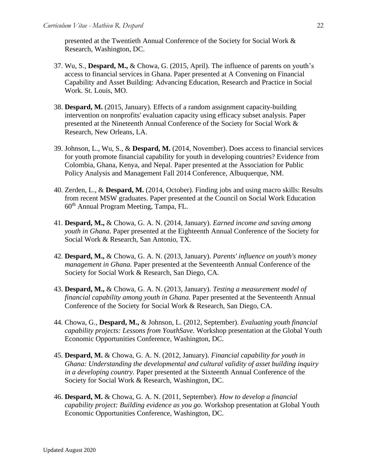presented at the Twentieth Annual Conference of the Society for Social Work & Research, Washington, DC.

- 37. Wu, S., **Despard, M.,** & Chowa, G. (2015, April). The influence of parents on youth's access to financial services in Ghana. Paper presented at A Convening on Financial Capability and Asset Building: Advancing Education, Research and Practice in Social Work. St. Louis, MO.
- 38. **Despard, M.** (2015, January). Effects of a random assignment capacity-building intervention on nonprofits' evaluation capacity using efficacy subset analysis. Paper presented at the Nineteenth Annual Conference of the Society for Social Work & Research, New Orleans, LA.
- 39. Johnson, L., Wu, S., & **Despard, M.** (2014, November). Does access to financial services for youth promote financial capability for youth in developing countries? Evidence from Colombia, Ghana, Kenya, and Nepal. Paper presented at the Association for Public Policy Analysis and Management Fall 2014 Conference, Albuquerque, NM.
- 40. Zerden, L., & **Despard, M.** (2014, October). Finding jobs and using macro skills: Results from recent MSW graduates. Paper presented at the Council on Social Work Education 60th Annual Program Meeting, Tampa, FL.
- 41. **Despard, M.,** & Chowa, G. A. N. (2014, January). *Earned income and saving among youth in Ghana*. Paper presented at the Eighteenth Annual Conference of the Society for Social Work & Research, San Antonio, TX.
- 42. **Despard, M.,** & Chowa, G. A. N. (2013, January). *Parents' influence on youth's money management in Ghana.* Paper presented at the Seventeenth Annual Conference of the Society for Social Work & Research, San Diego, CA.
- 43. **Despard, M.,** & Chowa, G. A. N. (2013, January). *Testing a measurement model of financial capability among youth in Ghana.* Paper presented at the Seventeenth Annual Conference of the Society for Social Work & Research, San Diego, CA.
- 44. Chowa, G., **Despard, M.,** & Johnson, L. (2012, September). *Evaluating youth financial capability projects: Lessons from YouthSave.* Workshop presentation at the Global Youth Economic Opportunities Conference, Washington, DC.
- 45. **Despard, M.** & Chowa, G. A. N. (2012, January). *Financial capability for youth in Ghana: Understanding the developmental and cultural validity of asset building inquiry in a developing country.* Paper presented at the Sixteenth Annual Conference of the Society for Social Work & Research, Washington, DC.
- 46. **Despard, M.** & Chowa, G. A. N. (2011, September). *How to develop a financial capability project: Building evidence as you go.* Workshop presentation at Global Youth Economic Opportunities Conference, Washington, DC.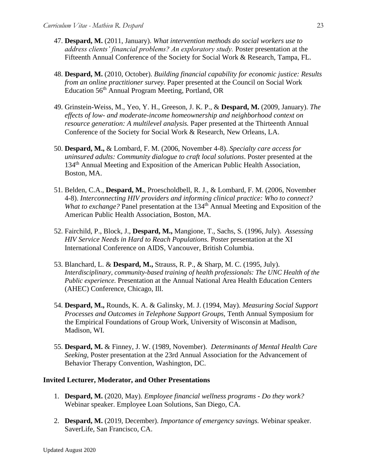- 47. **Despard, M.** (2011, January). *What intervention methods do social workers use to address clients' financial problems? An exploratory study.* Poster presentation at the Fifteenth Annual Conference of the Society for Social Work & Research, Tampa, FL.
- 48. **Despard, M.** (2010, October). *Building financial capability for economic justice: Results from an online practitioner survey.* Paper presented at the Council on Social Work Education 56th Annual Program Meeting, Portland, OR
- 49. Grinstein-Weiss, M., Yeo, Y. H., Greeson, J. K. P., & **Despard, M.** (2009, January). *The effects of low- and moderate-income homeownership and neighborhood context on resource generation: A multilevel analysis.* Paper presented at the Thirteenth Annual Conference of the Society for Social Work & Research, New Orleans, LA.
- 50. **Despard, M.,** & Lombard, F. M. (2006, November 4-8). *Specialty care access for uninsured adults: Community dialogue to craft local solutions*. Poster presented at the 134th Annual Meeting and Exposition of the American Public Health Association, Boston, MA.
- 51. Belden, C.A., **Despard, M.**, Proescholdbell, R. J., & Lombard, F. M. (2006, November 4-8). *Interconnecting HIV providers and informing clinical practice: Who to connect? What to exchange?* Panel presentation at the 134<sup>th</sup> Annual Meeting and Exposition of the American Public Health Association, Boston, MA.
- 52. Fairchild, P., Block, J., **Despard, M.,** Mangione, T., Sachs, S. (1996, July). *Assessing HIV Service Needs in Hard to Reach Populations.* Poster presentation at the XI International Conference on AIDS, Vancouver, British Columbia.
- 53. Blanchard, L. & **Despard, M.,** Strauss, R. P., & Sharp, M. C. (1995, July). *Interdisciplinary, community-based training of health professionals: The UNC Health of the Public experience.* Presentation at the Annual National Area Health Education Centers (AHEC) Conference, Chicago, Ill.
- 54. **Despard, M.,** Rounds, K. A. & Galinsky, M. J. (1994, May). *Measuring Social Support Processes and Outcomes in Telephone Support Groups,* Tenth Annual Symposium for the Empirical Foundations of Group Work, University of Wisconsin at Madison, Madison, WI.
- 55. **Despard, M.** & Finney, J. W. (1989, November). *Determinants of Mental Health Care Seeking,* Poster presentation at the 23rd Annual Association for the Advancement of Behavior Therapy Convention, Washington, DC.

#### **Invited Lecturer, Moderator, and Other Presentations**

- 1. **Despard, M.** (2020, May). *Employee financial wellness programs - Do they work?* Webinar speaker. Employee Loan Solutions, San Diego, CA.
- 2. **Despard, M.** (2019, December). *Importance of emergency savings.* Webinar speaker. SaverLife, San Francisco, CA.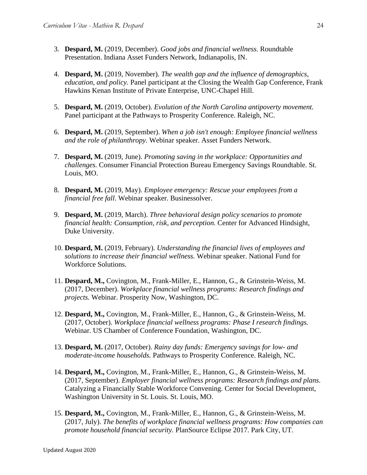- 3. **Despard, M.** (2019, December). *Good jobs and financial wellness.* Roundtable Presentation. Indiana Asset Funders Network, Indianapolis, IN.
- 4. **Despard, M.** (2019, November). *The wealth gap and the influence of demographics, education, and policy.* Panel participant at the Closing the Wealth Gap Conference, Frank Hawkins Kenan Institute of Private Enterprise, UNC-Chapel Hill.
- 5. **Despard, M.** (2019, October). *Evolution of the North Carolina antipoverty movement.*  Panel participant at the Pathways to Prosperity Conference. Raleigh, NC.
- 6. **Despard, M.** (2019, September). *When a job isn't enough: Employee financial wellness and the role of philanthropy.* Webinar speaker. Asset Funders Network.
- 7. **Despard, M.** (2019, June). *Promoting saving in the workplace: Opportunities and challenges.* Consumer Financial Protection Bureau Emergency Savings Roundtable. St. Louis, MO.
- 8. **Despard, M.** (2019, May). *Employee emergency: Rescue your employees from a financial free fall*. Webinar speaker. Businessolver.
- 9. **Despard, M.** (2019, March). *Three behavioral design policy scenarios to promote financial health: Consumption, risk, and perception.* Center for Advanced Hindsight, Duke University.
- 10. **Despard, M.** (2019, February). *Understanding the financial lives of employees and solutions to increase their financial wellness.* Webinar speaker. National Fund for Workforce Solutions.
- 11. **Despard, M.,** Covington, M., Frank-Miller, E., Hannon, G., & Grinstein-Weiss, M. (2017, December). *Workplace financial wellness programs: Research findings and projects.* Webinar. Prosperity Now, Washington, DC.
- 12. **Despard, M.,** Covington, M., Frank-Miller, E., Hannon, G., & Grinstein-Weiss, M. (2017, October). *Workplace financial wellness programs: Phase I research findings.*  Webinar. US Chamber of Conference Foundation, Washington, DC.
- 13. **Despard, M.** (2017, October). *Rainy day funds: Emergency savings for low- and moderate-income households.* Pathways to Prosperity Conference. Raleigh, NC.
- 14. **Despard, M.,** Covington, M., Frank-Miller, E., Hannon, G., & Grinstein-Weiss, M. (2017, September). *Employer financial wellness programs: Research findings and plans.* Catalyzing a Financially Stable Workforce Convening. Center for Social Development, Washington University in St. Louis. St. Louis, MO.
- 15. **Despard, M.,** Covington, M., Frank-Miller, E., Hannon, G., & Grinstein-Weiss, M. (2017, July). *The benefits of workplace financial wellness programs: How companies can promote household financial security.* PlanSource Eclipse 2017. Park City, UT.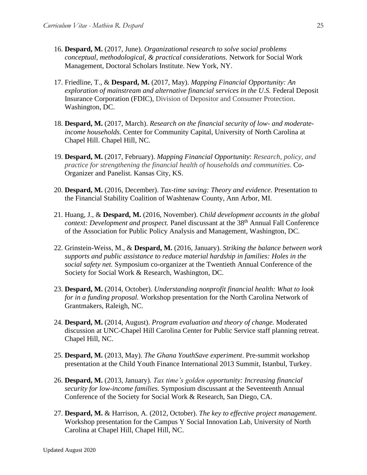- 16. **Despard, M.** (2017, June). *Organizational research to solve social problems conceptual, methodological, & practical considerations.* Network for Social Work Management, Doctoral Scholars Institute. New York, NY.
- 17. Friedline, T., & **Despard, M.** (2017, May). *Mapping Financial Opportunity: An exploration of mainstream and alternative financial services in the U.S.* Federal Deposit Insurance Corporation (FDIC), Division of Depositor and Consumer Protection. Washington, DC.
- 18. **Despard, M.** (2017, March). *Research on the financial security of low- and moderateincome households.* Center for Community Capital, University of North Carolina at Chapel Hill. Chapel Hill, NC.
- 19. **Despard, M.** (2017, February). *Mapping Financial Opportunity*: *Research, policy, and practice for strengthening the financial health of households and communities*. Co-Organizer and Panelist. Kansas City, KS.
- 20. **Despard, M.** (2016, December). *Tax-time saving: Theory and evidence.* Presentation to the Financial Stability Coalition of Washtenaw County, Ann Arbor, MI.
- 21. Huang, J., & **Despard, M.** (2016, November). *Child development accounts in the global context: Development and prospect.* Panel discussant at the 38<sup>th</sup> Annual Fall Conference of the Association for Public Policy Analysis and Management, Washington, DC.
- 22. Grinstein-Weiss, M., & **Despard, M.** (2016, January). *Striking the balance between work supports and public assistance to reduce material hardship in families: Holes in the social safety net.* Symposium co-organizer at the Twentieth Annual Conference of the Society for Social Work & Research, Washington, DC.
- 23. **Despard, M.** (2014, October). *Understanding nonprofit financial health: What to look for in a funding proposal.* Workshop presentation for the North Carolina Network of Grantmakers, Raleigh, NC.
- 24. **Despard, M.** (2014, August). *Program evaluation and theory of change.* Moderated discussion at UNC-Chapel Hill Carolina Center for Public Service staff planning retreat. Chapel Hill, NC.
- 25. **Despard, M.** (2013, May). *The Ghana YouthSave experiment*. Pre-summit workshop presentation at the Child Youth Finance International 2013 Summit, Istanbul, Turkey.
- 26. **Despard, M.** (2013, January). *Tax time's golden opportunity: Increasing financial security for low-income families.* Symposium discussant at the Seventeenth Annual Conference of the Society for Social Work & Research, San Diego, CA.
- 27. **Despard, M.** & Harrison, A. (2012, October). *The key to effective project management*. Workshop presentation for the Campus Y Social Innovation Lab, University of North Carolina at Chapel Hill, Chapel Hill, NC.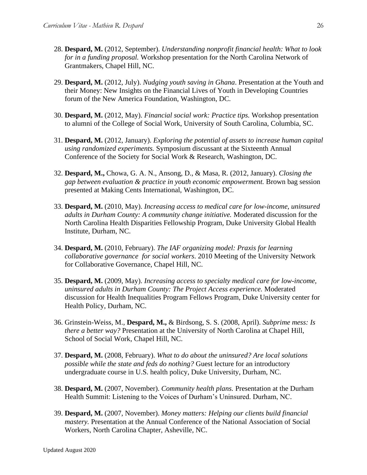- 28. **Despard, M.** (2012, September). *Understanding nonprofit financial health: What to look for in a funding proposal.* Workshop presentation for the North Carolina Network of Grantmakers, Chapel Hill, NC.
- 29. **Despard, M.** (2012, July). *Nudging youth saving in Ghana*. Presentation at the Youth and their Money: New Insights on the Financial Lives of Youth in Developing Countries forum of the New America Foundation, Washington, DC.
- 30. **Despard, M.** (2012, May). *Financial social work: Practice tips.* Workshop presentation to alumni of the College of Social Work, University of South Carolina, Columbia, SC.
- 31. **Despard, M.** (2012, January). *Exploring the potential of assets to increase human capital using randomized experiments.* Symposium discussant at the Sixteenth Annual Conference of the Society for Social Work & Research, Washington, DC.
- 32. **Despard, M.,** Chowa, G. A. N., Ansong, D., & Masa, R. (2012, January). *Closing the gap between evaluation & practice in youth economic empowerment.* Brown bag session presented at Making Cents International, Washington, DC.
- 33. **Despard, M.** (2010, May). *Increasing access to medical care for low-income, uninsured adults in Durham County: A community change initiative.* Moderated discussion for the North Carolina Health Disparities Fellowship Program, Duke University Global Health Institute, Durham, NC.
- 34. **Despard, M.** (2010, February). *The IAF organizing model: Praxis for learning collaborative governance for social workers*. 2010 Meeting of the University Network for Collaborative Governance, Chapel Hill, NC.
- 35. **Despard, M.** (2009, May). *Increasing access to specialty medical care for low-income, uninsured adults in Durham County: The Project Access experience.* Moderated discussion for Health Inequalities Program Fellows Program, Duke University center for Health Policy, Durham, NC.
- 36. Grinstein-Weiss, M., **Despard, M.,** & Birdsong, S. S. (2008, April). *Subprime mess: Is there a better way?* Presentation at the University of North Carolina at Chapel Hill, School of Social Work, Chapel Hill, NC.
- 37. **Despard, M.** (2008, February). *What to do about the uninsured? Are local solutions possible while the state and feds do nothing?* Guest lecture for an introductory undergraduate course in U.S. health policy, Duke University, Durham, NC.
- 38. **Despard, M.** (2007, November). *Community health plans.* Presentation at the Durham Health Summit: Listening to the Voices of Durham's Uninsured. Durham, NC.
- 39. **Despard, M.** (2007, November). *Money matters: Helping our clients build financial mastery.* Presentation at the Annual Conference of the National Association of Social Workers, North Carolina Chapter, Asheville, NC.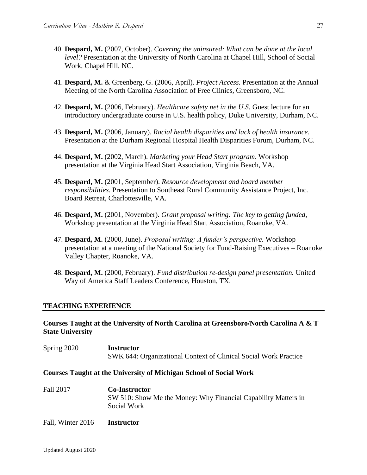- 40. **Despard, M.** (2007, October). *Covering the uninsured: What can be done at the local level?* Presentation at the University of North Carolina at Chapel Hill, School of Social Work, Chapel Hill, NC.
- 41. **Despard, M.** & Greenberg, G. (2006, April). *Project Access.* Presentation at the Annual Meeting of the North Carolina Association of Free Clinics, Greensboro, NC.
- 42. **Despard, M.** (2006, February). *Healthcare safety net in the U.S.* Guest lecture for an introductory undergraduate course in U.S. health policy, Duke University, Durham, NC.
- 43. **Despard, M.** (2006, January). *Racial health disparities and lack of health insurance.* Presentation at the Durham Regional Hospital Health Disparities Forum, Durham, NC.
- 44. **Despard, M.** (2002, March). *Marketing your Head Start program*. Workshop presentation at the Virginia Head Start Association, Virginia Beach, VA.
- 45. **Despard, M.** (2001, September). *Resource development and board member responsibilities.* Presentation to Southeast Rural Community Assistance Project, Inc. Board Retreat, Charlottesville, VA.
- 46. **Despard, M.** (2001, November). *Grant proposal writing: The key to getting funded,*  Workshop presentation at the Virginia Head Start Association, Roanoke, VA.
- 47. **Despard, M.** (2000, June). *Proposal writing: A funder's perspective.* Workshop presentation at a meeting of the National Society for Fund-Raising Executives – Roanoke Valley Chapter, Roanoke, VA.
- 48. **Despard, M.** (2000, February). *Fund distribution re-design panel presentation.* United Way of America Staff Leaders Conference, Houston, TX.

#### **TEACHING EXPERIENCE**

### **Courses Taught at the University of North Carolina at Greensboro/North Carolina A & T State University**

Spring 2020 **Instructor** SWK 644: Organizational Context of Clinical Social Work Practice

#### **Courses Taught at the University of Michigan School of Social Work**

Fall 2017 **Co-Instructor** SW 510: Show Me the Money: Why Financial Capability Matters in Social Work

Fall, Winter 2016 **Instructor**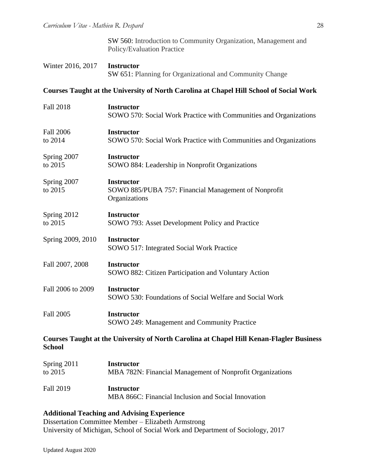| Winter 2016, 2017 <b>Instructor</b> |                                                          |
|-------------------------------------|----------------------------------------------------------|
|                                     | SW 651: Planning for Organizational and Community Change |

# **Courses Taught at the University of North Carolina at Chapel Hill School of Social Work**

| <b>Fall 2018</b>            | <b>Instructor</b><br>SOWO 570: Social Work Practice with Communities and Organizations          |
|-----------------------------|-------------------------------------------------------------------------------------------------|
| <b>Fall 2006</b><br>to 2014 | <b>Instructor</b><br>SOWO 570: Social Work Practice with Communities and Organizations          |
| Spring 2007<br>to 2015      | <b>Instructor</b><br>SOWO 884: Leadership in Nonprofit Organizations                            |
| Spring 2007<br>to 2015      | <b>Instructor</b><br>SOWO 885/PUBA 757: Financial Management of Nonprofit<br>Organizations      |
| Spring 2012<br>to 2015      | <b>Instructor</b><br>SOWO 793: Asset Development Policy and Practice                            |
| Spring 2009, 2010           | <b>Instructor</b><br>SOWO 517: Integrated Social Work Practice                                  |
| Fall 2007, 2008             | <b>Instructor</b><br>SOWO 882: Citizen Participation and Voluntary Action                       |
| Fall 2006 to 2009           | <b>Instructor</b><br>SOWO 530: Foundations of Social Welfare and Social Work                    |
| <b>Fall 2005</b>            | <b>Instructor</b><br>SOWO 249: Management and Community Practice                                |
| <b>School</b>               | <b>Courses Taught at the University of North Carolina at Chapel Hill Kenan-Flagler Business</b> |

| Spring $2011$    | <b>Instructor</b>                                                        |
|------------------|--------------------------------------------------------------------------|
| to 2015          | MBA 782N: Financial Management of Nonprofit Organizations                |
| <b>Fall 2019</b> | <b>Instructor</b><br>MBA 866C: Financial Inclusion and Social Innovation |

# **Additional Teaching and Advising Experience**

Dissertation Committee Member – Elizabeth Armstrong University of Michigan, School of Social Work and Department of Sociology, 2017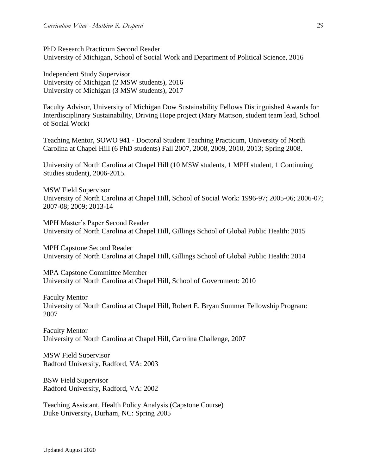PhD Research Practicum Second Reader University of Michigan, School of Social Work and Department of Political Science, 2016

Independent Study Supervisor University of Michigan (2 MSW students), 2016 University of Michigan (3 MSW students), 2017

Faculty Advisor, University of Michigan Dow Sustainability Fellows Distinguished Awards for Interdisciplinary Sustainability, Driving Hope project (Mary Mattson, student team lead, School of Social Work)

Teaching Mentor, SOWO 941 - Doctoral Student Teaching Practicum, University of North Carolina at Chapel Hill (6 PhD students) Fall 2007, 2008, 2009, 2010, 2013; Spring 2008.

University of North Carolina at Chapel Hill (10 MSW students, 1 MPH student, 1 Continuing Studies student), 2006-2015.

MSW Field Supervisor University of North Carolina at Chapel Hill, School of Social Work: 1996-97; 2005-06; 2006-07; 2007-08; 2009; 2013-14

MPH Master's Paper Second Reader University of North Carolina at Chapel Hill, Gillings School of Global Public Health: 2015

MPH Capstone Second Reader University of North Carolina at Chapel Hill, Gillings School of Global Public Health: 2014

MPA Capstone Committee Member University of North Carolina at Chapel Hill, School of Government: 2010

Faculty Mentor University of North Carolina at Chapel Hill, Robert E. Bryan Summer Fellowship Program: 2007

Faculty Mentor University of North Carolina at Chapel Hill, Carolina Challenge, 2007

MSW Field Supervisor Radford University, Radford, VA: 2003

BSW Field Supervisor Radford University, Radford, VA: 2002

Teaching Assistant, Health Policy Analysis (Capstone Course) Duke University**,** Durham, NC: Spring 2005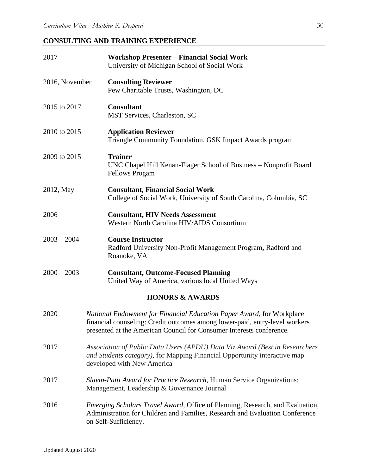# **CONSULTING AND TRAINING EXPERIENCE**

| 2017           | <b>Workshop Presenter - Financial Social Work</b><br>University of Michigan School of Social Work                                                                                                                            |
|----------------|------------------------------------------------------------------------------------------------------------------------------------------------------------------------------------------------------------------------------|
| 2016, November | <b>Consulting Reviewer</b><br>Pew Charitable Trusts, Washington, DC                                                                                                                                                          |
| 2015 to 2017   | <b>Consultant</b><br>MST Services, Charleston, SC                                                                                                                                                                            |
| 2010 to 2015   | <b>Application Reviewer</b><br>Triangle Community Foundation, GSK Impact Awards program                                                                                                                                      |
| 2009 to 2015   | <b>Trainer</b><br>UNC Chapel Hill Kenan-Flager School of Business – Nonprofit Board<br><b>Fellows Progam</b>                                                                                                                 |
| 2012, May      | <b>Consultant, Financial Social Work</b><br>College of Social Work, University of South Carolina, Columbia, SC                                                                                                               |
| 2006           | <b>Consultant, HIV Needs Assessment</b><br>Western North Carolina HIV/AIDS Consortium                                                                                                                                        |
| $2003 - 2004$  | <b>Course Instructor</b><br>Radford University Non-Profit Management Program, Radford and<br>Roanoke, VA                                                                                                                     |
| $2000 - 2003$  | <b>Consultant, Outcome-Focused Planning</b><br>United Way of America, various local United Ways                                                                                                                              |
|                | <b>HONORS &amp; AWARDS</b>                                                                                                                                                                                                   |
| 2020           | National Endowment for Financial Education Paper Award, for Workplace<br>financial counseling: Credit outcomes among lower-paid, entry-level workers<br>presented at the American Council for Consumer Interests conference. |
| 2017           | Association of Public Data Users (APDU) Data Viz Award (Best in Researchers<br>and Students category), for Mapping Financial Opportunity interactive map<br>developed with New America                                       |
| 2017           | Slavin-Patti Award for Practice Research, Human Service Organizations:<br>Management, Leadership & Governance Journal                                                                                                        |
| 2016           | <i>Emerging Scholars Travel Award, Office of Planning, Research, and Evaluation,</i><br>Administration for Children and Families, Research and Evaluation Conference<br>on Self-Sufficiency.                                 |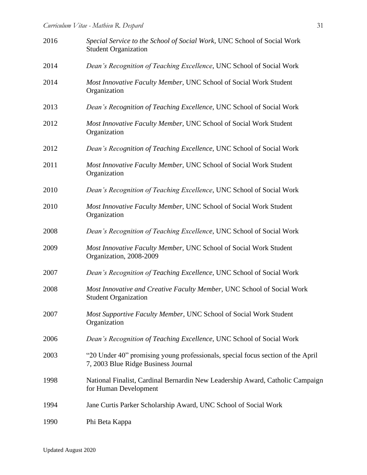| 2016 | Special Service to the School of Social Work, UNC School of Social Work<br><b>Student Organization</b>                 |
|------|------------------------------------------------------------------------------------------------------------------------|
| 2014 | Dean's Recognition of Teaching Excellence, UNC School of Social Work                                                   |
| 2014 | Most Innovative Faculty Member, UNC School of Social Work Student<br>Organization                                      |
| 2013 | Dean's Recognition of Teaching Excellence, UNC School of Social Work                                                   |
| 2012 | Most Innovative Faculty Member, UNC School of Social Work Student<br>Organization                                      |
| 2012 | Dean's Recognition of Teaching Excellence, UNC School of Social Work                                                   |
| 2011 | Most Innovative Faculty Member, UNC School of Social Work Student<br>Organization                                      |
| 2010 | Dean's Recognition of Teaching Excellence, UNC School of Social Work                                                   |
| 2010 | Most Innovative Faculty Member, UNC School of Social Work Student<br>Organization                                      |
| 2008 | Dean's Recognition of Teaching Excellence, UNC School of Social Work                                                   |
| 2009 | Most Innovative Faculty Member, UNC School of Social Work Student<br>Organization, 2008-2009                           |
| 2007 | Dean's Recognition of Teaching Excellence, UNC School of Social Work                                                   |
| 2008 | Most Innovative and Creative Faculty Member, UNC School of Social Work<br><b>Student Organization</b>                  |
| 2007 | Most Supportive Faculty Member, UNC School of Social Work Student<br>Organization                                      |
| 2006 | Dean's Recognition of Teaching Excellence, UNC School of Social Work                                                   |
| 2003 | "20 Under 40" promising young professionals, special focus section of the April<br>7, 2003 Blue Ridge Business Journal |
| 1998 | National Finalist, Cardinal Bernardin New Leadership Award, Catholic Campaign<br>for Human Development                 |
| 1994 | Jane Curtis Parker Scholarship Award, UNC School of Social Work                                                        |
| 1990 | Phi Beta Kappa                                                                                                         |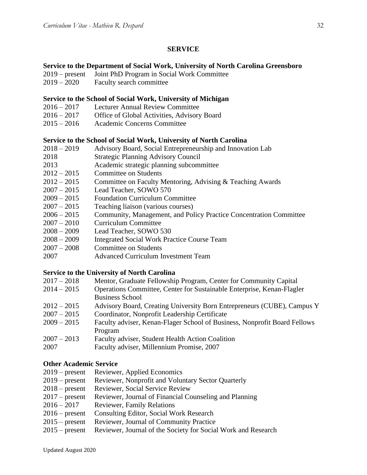# **SERVICE**

### **Service to the Department of Social Work, University of North Carolina Greensboro**

- 2019 present Joint PhD Program in Social Work Committee
- 2019 2020 Faculty search committee

#### **Service to the School of Social Work, University of Michigan**

- 2016 2017 Lecturer Annual Review Committee
- 2016 2017 Office of Global Activities, Advisory Board
- 2015 2016 Academic Concerns Committee

#### **Service to the School of Social Work, University of North Carolina**

- 2018 2019 Advisory Board, Social Entrepreneurship and Innovation Lab
- 2018 Strategic Planning Advisory Council
- 2013 Academic strategic planning subcommittee
- 2012 2015 Committee on Students
- 2012 2015 Committee on Faculty Mentoring, Advising & Teaching Awards
- 2007 2015 Lead Teacher, SOWO 570
- 2009 2015 Foundation Curriculum Committee
- 2007 2015 Teaching liaison (various courses)
- 2006 2015 Community, Management, and Policy Practice Concentration Committee
- 2007 2010 Curriculum Committee<br>2008 2009 Lead Teacher. SOWO
- Lead Teacher, SOWO 530
- 2008 2009 Integrated Social Work Practice Course Team
- 2007 2008 Committee on Students
- 2007 Advanced Curriculum Investment Team

#### **Service to the University of North Carolina**

| $2017 - 2018$ | Mentor, Graduate Fellowship Program, Center for Community Capital         |
|---------------|---------------------------------------------------------------------------|
| $2014 - 2015$ | Operations Committee, Center for Sustainable Enterprise, Kenan-Flagler    |
|               | <b>Business School</b>                                                    |
| $2012 - 2015$ | Advisory Board, Creating University Born Entrepreneurs (CUBE), Campus Y   |
| $2007 - 2015$ | Coordinator, Nonprofit Leadership Certificate                             |
| $2009 - 2015$ | Faculty adviser, Kenan-Flager School of Business, Nonprofit Board Fellows |
|               | Program                                                                   |
| $2007 - 2013$ | Faculty adviser, Student Health Action Coalition                          |
| 2007          | Faculty adviser, Millennium Promise, 2007                                 |

## **Other Academic Service**

- 2019 present Reviewer, Applied Economics 2019 – present Reviewer, Nonprofit and Voluntary Sector Quarterly 2018 – present Reviewer, Social Service Review 2017 – present Reviewer, Journal of Financial Counseling and Planning 2016 – 2017 Reviewer, Family Relations 2016 – present Consulting Editor, Social Work Research 2015 – present Reviewer, Journal of Community Practice
- 2015 present Reviewer, Journal of the Society for Social Work and Research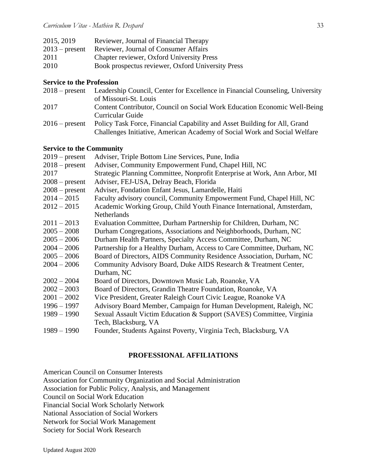| 2015, 2019       | Reviewer, Journal of Financial Therapy            |
|------------------|---------------------------------------------------|
| $2013$ – present | <b>Reviewer, Journal of Consumer Affairs</b>      |
| 2011             | Chapter reviewer, Oxford University Press         |
| 2010             | Book prospectus reviewer, Oxford University Press |

## **Service to the Profession**

| $2018$ – present | Leadership Council, Center for Excellence in Financial Counseling, University |
|------------------|-------------------------------------------------------------------------------|
|                  | of Missouri-St. Louis                                                         |
| 2017             | Content Contributor, Council on Social Work Education Economic Well-Being     |
|                  | Curricular Guide                                                              |
| $2016$ – present | Policy Task Force, Financial Capability and Asset Building for All, Grand     |
|                  | Challenges Initiative, American Academy of Social Work and Social Welfare     |

## **Service to the Community**

| $2019$ – present | Adviser, Triple Bottom Line Services, Pune, India                         |
|------------------|---------------------------------------------------------------------------|
| $2018$ – present | Adviser, Community Empowerment Fund, Chapel Hill, NC                      |
| 2017             | Strategic Planning Committee, Nonprofit Enterprise at Work, Ann Arbor, MI |
| $2008$ – present | Adviser, FEJ-USA, Delray Beach, Florida                                   |
| $2008$ – present | Adviser, Fondation Enfant Jesus, Lamardelle, Haiti                        |
| $2014 - 2015$    | Faculty advisory council, Community Empowerment Fund, Chapel Hill, NC     |
| $2012 - 2015$    | Academic Working Group, Child Youth Finance International, Amsterdam,     |
|                  | Netherlands                                                               |
| $2011 - 2013$    | Evaluation Committee, Durham Partnership for Children, Durham, NC         |
| $2005 - 2008$    | Durham Congregations, Associations and Neighborhoods, Durham, NC          |
| $2005 - 2006$    | Durham Health Partners, Specialty Access Committee, Durham, NC            |
| $2004 - 2006$    | Partnership for a Healthy Durham, Access to Care Committee, Durham, NC    |
| $2005 - 2006$    | Board of Directors, AIDS Community Residence Association, Durham, NC      |
| $2004 - 2006$    | Community Advisory Board, Duke AIDS Research & Treatment Center,          |
|                  | Durham, NC                                                                |
| $2002 - 2004$    | Board of Directors, Downtown Music Lab, Roanoke, VA                       |
| $2002 - 2003$    | Board of Directors, Grandin Theatre Foundation, Roanoke, VA               |
| $2001 - 2002$    | Vice President, Greater Raleigh Court Civic League, Roanoke VA            |
| $1996 - 1997$    | Advisory Board Member, Campaign for Human Development, Raleigh, NC        |
| $1989 - 1990$    | Sexual Assault Victim Education & Support (SAVES) Committee, Virginia     |
|                  | Tech, Blacksburg, VA                                                      |
| $1989 - 1990$    | Founder, Students Against Poverty, Virginia Tech, Blacksburg, VA          |
|                  |                                                                           |

## **PROFESSIONAL AFFILIATIONS**

American Council on Consumer Interests

Association for Community Organization and Social Administration

Association for Public Policy, Analysis, and Management

Council on Social Work Education

Financial Social Work Scholarly Network

National Association of Social Workers

Network for Social Work Management

Society for Social Work Research